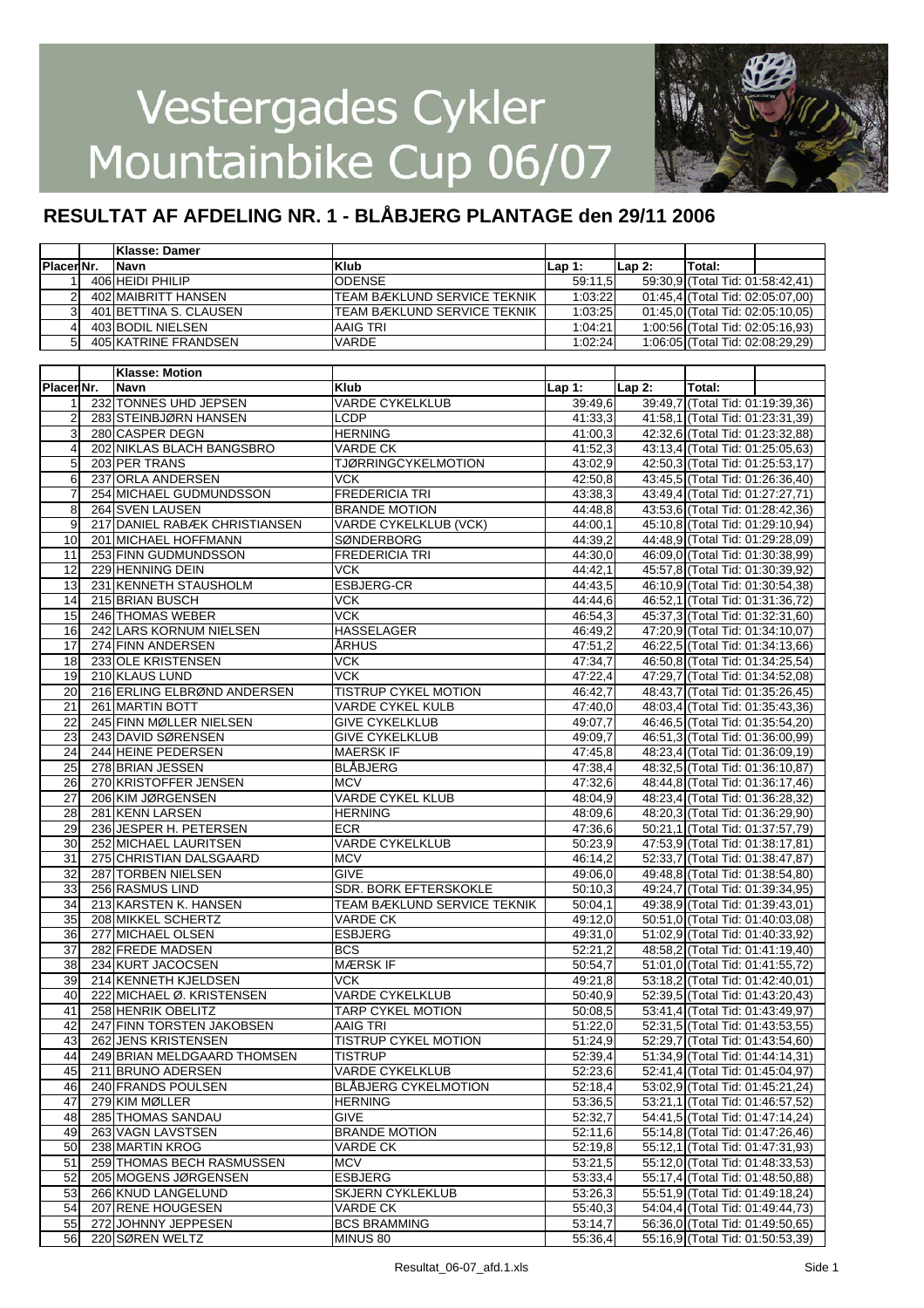

|                   | <b>Klasse: Damer</b>   |                             |         |         |                                  |  |
|-------------------|------------------------|-----------------------------|---------|---------|----------------------------------|--|
| <b>IPlacerNr.</b> | <b>INavn</b>           | Klub                        | lLap 1: | lLap 2: | <b>ITotal:</b>                   |  |
|                   | 406 HEIDI PHILIP       | <b>ODENSE</b>               | 59:11.5 |         | 59:30,9 (Total Tid: 01:58:42,41) |  |
|                   | 402 MAIBRITT HANSEN    | TEAM BÆKLUND SERVICE TEKNIK | 1:03:22 |         | 01:45.4 (Total Tid: 02:05:07.00) |  |
|                   | 401 BETTINA S. CLAUSEN | TEAM BÆKLUND SERVICE TEKNIK | 1:03:25 |         | 01:45,0 (Total Tid: 02:05:10,05) |  |
|                   | 403 BODIL NIELSEN      | AAIG TRI                    | 1:04:21 |         | 1:00:56 (Total Tid: 02:05:16,93) |  |
|                   | 405 KATRINE FRANDSEN   | <b>VARDE</b>                | 1:02:24 |         | 1:06:05 (Total Tid: 02:08:29,29) |  |

|                | <b>Klasse: Motion</b>         |                             |         |          |                                  |  |
|----------------|-------------------------------|-----------------------------|---------|----------|----------------------------------|--|
| Placer Nr.     | Navn                          | <b>Klub</b>                 | Lap 1:  | $Lap2$ : | Total:                           |  |
| 1              | 232 TONNES UHD JEPSEN         | <b>VARDE CYKELKLUB</b>      | 39:49,6 |          | 39:49.7 (Total Tid: 01:19:39.36) |  |
| $\overline{2}$ | 283 STEINBJØRN HANSEN         | <b>LCDP</b>                 | 41:33,3 |          | 41:58,1 (Total Tid: 01:23:31,39) |  |
| 3              | 280 CASPER DEGN               | <b>HERNING</b>              | 41:00,3 |          | 42:32,6 (Total Tid: 01:23:32,88) |  |
| $\overline{4}$ | 202 NIKLAS BLACH BANGSBRO     | VARDE CK                    | 41:52,3 |          | 43:13,4 (Total Tid: 01:25:05,63) |  |
| 5              | 203 PER TRANS                 | <b>TJØRRINGCYKELMOTION</b>  | 43:02,9 |          | 42:50,3 (Total Tid: 01:25:53,17) |  |
| 6              | 237 ORLA ANDERSEN             | VCK                         | 42:50.8 |          | 43:45,5 (Total Tid: 01:26:36,40) |  |
| 7              | 254 MICHAEL GUDMUNDSSON       | <b>FREDERICIA TRI</b>       | 43:38,3 |          | 43:49,4 (Total Tid: 01:27:27,71) |  |
| 8              | 264 SVEN LAUSEN               | <b>BRANDE MOTION</b>        | 44:48.8 |          | 43:53,6 (Total Tid: 01:28:42,36) |  |
| 9              | 217 DANIEL RABÆK CHRISTIANSEN | VARDE CYKELKLUB (VCK)       | 44:00,1 |          | 45:10,8 (Total Tid: 01:29:10,94) |  |
| 10             | 201 MICHAEL HOFFMANN          | SØNDERBORG                  | 44:39,2 |          | 44:48,9 (Total Tid: 01:29:28,09) |  |
| 11             | 253 FINN GUDMUNDSSON          | <b>FREDERICIA TRI</b>       | 44:30,0 |          | 46:09,0 (Total Tid: 01:30:38,99) |  |
| 12             | 229 HENNING DEIN              | VCK                         | 44:42,1 |          | 45:57,8 (Total Tid: 01:30:39,92) |  |
| 13             | 231 KENNETH STAUSHOLM         | ESBJERG-CR                  | 44:43,5 |          | 46:10,9 (Total Tid: 01:30:54,38) |  |
| 14             | 215 BRIAN BUSCH               | VCK                         | 44:44,6 |          | 46:52,1 (Total Tid: 01:31:36,72) |  |
| 15             | 246 THOMAS WEBER              | <b>VCK</b>                  | 46:54,3 |          | 45:37,3 (Total Tid: 01:32:31,60) |  |
| 16             | 242 LARS KORNUM NIELSEN       | <b>HASSELAGER</b>           | 46:49,2 |          | 47:20,9 (Total Tid: 01:34:10,07) |  |
| 17             | 274 FINN ANDERSEN             | <b>ARHUS</b>                | 47:51,2 |          | 46:22,5 (Total Tid: 01:34:13,66) |  |
| 18             | 233 OLE KRISTENSEN            | $\overline{\text{VCK}}$     | 47:34,7 |          | 46:50,8 (Total Tid: 01:34:25,54) |  |
| 19             | 210 KLAUS LUND                | <b>VCK</b>                  | 47:22,4 |          | 47:29,7 (Total Tid: 01:34:52,08) |  |
| 20             | 216 ERLING ELBRØND ANDERSEN   | <b>TISTRUP CYKEL MOTION</b> | 46:42,7 |          | 48:43,7 (Total Tid: 01:35:26,45) |  |
| 21             | 261 MARTIN BOTT               | <b>VARDE CYKEL KULB</b>     | 47:40,0 |          | 48:03,4 (Total Tid: 01:35:43,36) |  |
| 22             | 245 FINN MØLLER NIELSEN       | <b>GIVE CYKELKLUB</b>       | 49:07.7 |          | 46:46,5 (Total Tid: 01:35:54,20) |  |
| 23             | 243 DAVID SØRENSEN            | <b>GIVE CYKELKLUB</b>       | 49:09.7 |          | 46:51,3 (Total Tid: 01:36:00,99) |  |
| 24             | 244 HEINE PEDERSEN            | <b>MAERSK IF</b>            | 47:45.8 |          | 48:23,4 (Total Tid: 01:36:09,19) |  |
| 25             | 278 BRIAN JESSEN              | <b>BLABJERG</b>             | 47:38,4 |          | 48:32,5 (Total Tid: 01:36:10,87) |  |
| 26             | 270 KRISTOFFER JENSEN         | <b>MCV</b>                  | 47:32,6 |          | 48:44,8 (Total Tid: 01:36:17,46) |  |
| 27             | 206 KIM JØRGENSEN             | <b>VARDE CYKEL KLUB</b>     | 48:04,9 |          | 48:23,4 (Total Tid: 01:36:28,32) |  |
| 28             | 281 KENN LARSEN               | <b>HERNING</b>              | 48:09,6 |          | 48:20,3 (Total Tid: 01:36:29,90) |  |
| 29             | 236 JESPER H. PETERSEN        | <b>ECR</b>                  | 47:36.6 |          | 50:21,1 (Total Tid: 01:37:57,79) |  |
| 30             | 252 MICHAEL LAURITSEN         | <b>VARDE CYKELKLUB</b>      | 50:23,9 |          | 47:53,9 (Total Tid: 01:38:17,81) |  |
| 31             | 275 CHRISTIAN DALSGAARD       | <b>MCV</b>                  | 46:14,2 |          | 52:33,7 (Total Tid: 01:38:47,87) |  |
| 32             | 287 TORBEN NIELSEN            | <b>GIVE</b>                 | 49:06.0 |          | 49:48,8 (Total Tid: 01:38:54,80) |  |
| 33             | 256 RASMUS LIND               | SDR. BORK EFTERSKOKLE       | 50:10,3 |          | 49:24,7 (Total Tid: 01:39:34,95) |  |
| 34             | 213 KARSTEN K. HANSEN         | TEAM BÆKLUND SERVICE TEKNIK | 50:04,1 |          | 49:38,9 (Total Tid: 01:39:43,01) |  |
| 35             | 208 MIKKEL SCHERTZ            | <b>VARDE CK</b>             | 49:12,0 |          | 50:51,0 (Total Tid: 01:40:03,08) |  |
| 36             | 277 MICHAEL OLSEN             | <b>ESBJERG</b>              | 49:31,0 |          | 51:02,9 (Total Tid: 01:40:33,92) |  |
| 37             | 282 FREDE MADSEN              | <b>BCS</b>                  | 52:21,2 |          | 48:58,2 (Total Tid: 01:41:19,40) |  |
| 38             | 234 KURT JACOCSEN             | <b>MÆRSK IF</b>             | 50:54,7 |          | 51:01,0 (Total Tid: 01:41:55,72) |  |
| 39             | 214 KENNETH KJELDSEN          | VCK                         | 49:21,8 |          | 53:18,2 (Total Tid: 01:42:40,01) |  |
| 40             | 222 MICHAEL Ø. KRISTENSEN     | <b>VARDE CYKELKLUB</b>      | 50:40,9 |          | 52:39,5 (Total Tid: 01:43:20,43) |  |
| 41             | <b>258 HENRIK OBELITZ</b>     | <b>TARP CYKEL MOTION</b>    | 50:08,5 |          | 53:41,4 (Total Tid: 01:43:49,97) |  |
| 42             | 247 FINN TORSTEN JAKOBSEN     | <b>AAIG TRI</b>             | 51:22,0 |          | 52:31,5 (Total Tid: 01:43:53,55) |  |
| 43             | <b>262 JENS KRISTENSEN</b>    | <b>TISTRUP CYKEL MOTION</b> | 51:24,9 |          | 52:29,7 (Total Tid: 01:43:54,60) |  |
| 44             | 249 BRIAN MELDGAARD THOMSEN   | <b>TISTRUP</b>              | 52:39,4 |          | 51:34,9 (Total Tid: 01:44:14,31) |  |
| 45             | 211 BRUNO ADERSEN             | <b>VARDE CYKELKLUB</b>      | 52:23,6 |          | 52:41,4 (Total Tid: 01:45:04,97) |  |
| 46             | 240 FRANDS POULSEN            | <b>BLÅBJERG CYKELMOTION</b> | 52:18,4 |          | 53:02,9 (Total Tid: 01:45:21,24) |  |
| 47             | 279 KIM MØLLER                | <b>HERNING</b>              | 53:36,5 |          | 53:21,1 (Total Tid: 01:46:57,52) |  |
| 48             | 285 THOMAS SANDAU             | <b>GIVE</b>                 | 52:32,7 |          | 54:41,5 (Total Tid: 01:47:14,24) |  |
| 49             | 263 VAGN LAVSTSEN             | <b>BRANDE MOTION</b>        | 52:11,6 |          | 55:14,8 (Total Tid: 01:47:26,46) |  |
| 50             | 238 MARTIN KROG               | <b>VARDE CK</b>             | 52:19,8 |          | 55:12,1 (Total Tid: 01:47:31,93) |  |
| 51             | 259 THOMAS BECH RASMUSSEN     | <b>MCV</b>                  | 53:21,5 |          | 55:12,0 (Total Tid: 01:48:33,53) |  |
| 52             | 205 MOGENS JØRGENSEN          | <b>ESBJERG</b>              | 53:33,4 |          | 55:17,4 (Total Tid: 01:48:50,88) |  |
| 53             | 266 KNUD LANGELUND            | <b>SKJERN CYKLEKLUB</b>     | 53:26,3 |          | 55:51,9 (Total Tid: 01:49:18,24) |  |
| 54             | 207 RENE HOUGESEN             | <b>VARDE CK</b>             | 55:40,3 |          | 54:04,4 (Total Tid: 01:49:44,73) |  |
| 55             | 272 JOHNNY JEPPESEN           | <b>BCS BRAMMING</b>         | 53:14,7 |          | 56:36,0 (Total Tid: 01:49:50,65) |  |
| 56             | 220 SØREN WELTZ               | MINUS 80                    | 55:36,4 |          | 55:16,9 (Total Tid: 01:50:53,39) |  |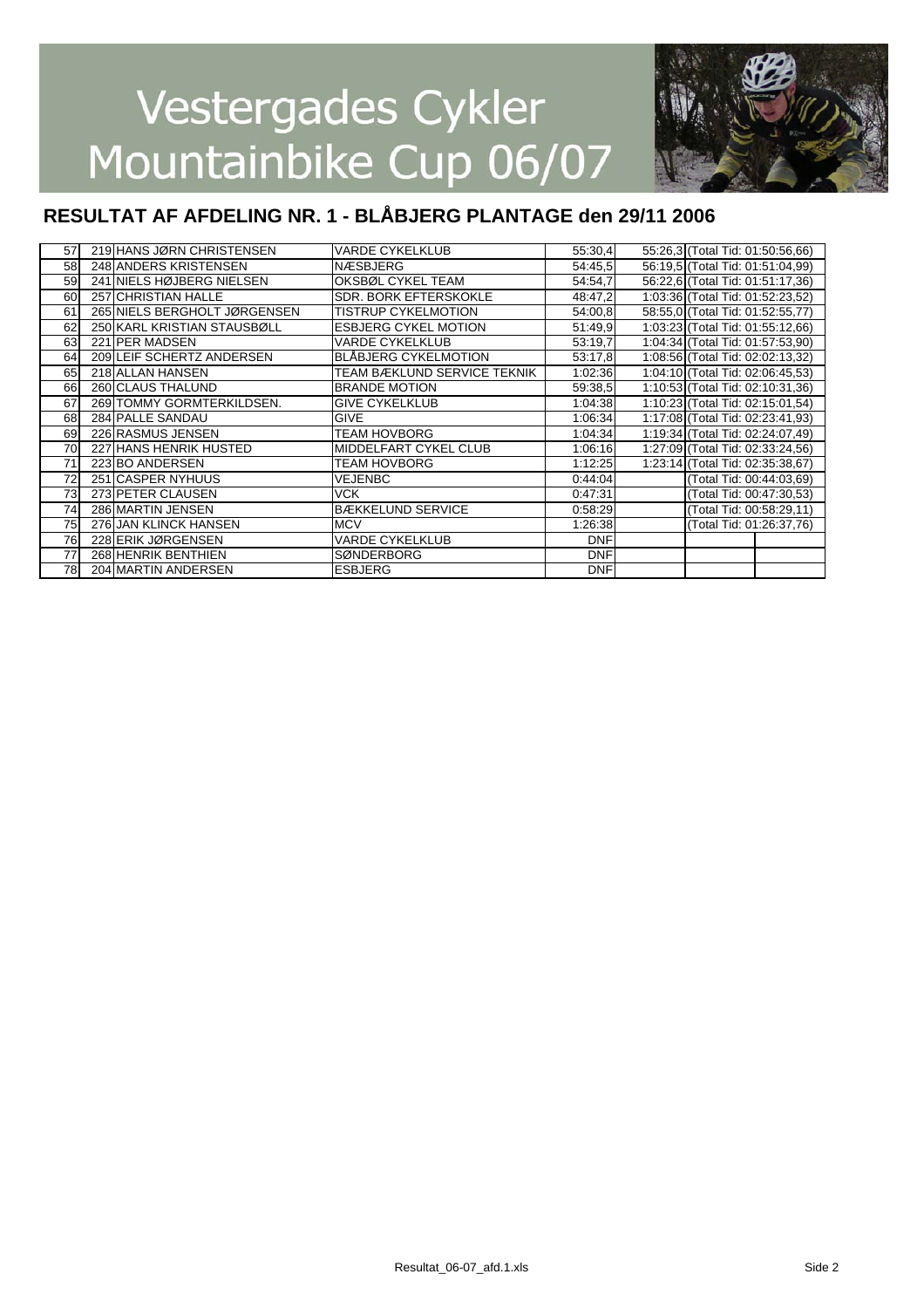

| 57 | 219 HANS JØRN CHRISTENSEN    | <b>VARDE CYKELKLUB</b>       | 55:30,4    | 55:26,3 (Total Tid: 01:50:56,66) |  |
|----|------------------------------|------------------------------|------------|----------------------------------|--|
| 58 | 248 ANDERS KRISTENSEN        | <b>NÆSBJERG</b>              | 54:45.5    | 56:19,5 (Total Tid: 01:51:04,99) |  |
| 59 | 241 NIELS HØJBERG NIELSEN    | OKSBØL CYKEL TEAM            | 54:54,7    | 56:22.6 (Total Tid: 01:51:17.36) |  |
| 60 | 257 CHRISTIAN HALLE          | <b>SDR. BORK EFTERSKOKLE</b> | 48:47,2    | 1:03:36 (Total Tid: 01:52:23,52) |  |
| 61 | 265 NIELS BERGHOLT JØRGENSEN | <b>TISTRUP CYKELMOTION</b>   | 54:00,8    | 58:55,0 (Total Tid: 01:52:55,77) |  |
| 62 | 250 KARL KRISTIAN STAUSBØLL  | <b>ESBJERG CYKEL MOTION</b>  | 51:49,9    | 1:03:23 (Total Tid: 01:55:12,66) |  |
| 63 | 221 PER MADSEN               | <b>VARDE CYKELKLUB</b>       | 53:19.7    | 1:04:34 (Total Tid: 01:57:53,90) |  |
| 64 | 209 LEIF SCHERTZ ANDERSEN    | <b>BLÅBJERG CYKELMOTION</b>  | 53:17.8    | 1:08:56 (Total Tid: 02:02:13,32) |  |
| 65 | 218 ALLAN HANSEN             | TEAM BÆKLUND SERVICE TEKNIK  | 1:02:36    | 1:04:10 (Total Tid: 02:06:45,53) |  |
| 66 | 260 CLAUS THALUND            | <b>BRANDE MOTION</b>         | 59:38.5    | 1:10:53 (Total Tid: 02:10:31,36) |  |
| 67 | 269 TOMMY GORMTERKILDSEN.    | <b>GIVE CYKELKLUB</b>        | 1:04:38    | 1:10:23 (Total Tid: 02:15:01,54) |  |
| 68 | 284 PALLE SANDAU             | <b>GIVE</b>                  | 1:06:34    | 1:17:08 (Total Tid: 02:23:41,93) |  |
| 69 | 226 RASMUS JENSEN            | <b>TEAM HOVBORG</b>          | 1:04:34    | 1:19:34 (Total Tid: 02:24:07,49) |  |
| 70 | 227 HANS HENRIK HUSTED       | <b>MIDDELFART CYKEL CLUB</b> | 1:06:16    | 1:27:09 (Total Tid: 02:33:24,56) |  |
| 71 | 223 BO ANDERSEN              | <b>TEAM HOVBORG</b>          | 1:12:25    | 1:23:14 (Total Tid: 02:35:38,67) |  |
| 72 | 251 CASPER NYHUUS            | <b>VEJENBC</b>               | 0:44:04    | (Total Tid: 00:44:03,69)         |  |
| 73 | 273 PETER CLAUSEN            | <b>VCK</b>                   | 0:47:31    | (Total Tid: 00:47:30,53)         |  |
| 74 | 286 MARTIN JENSEN            | <b>BÆKKELUND SERVICE</b>     | 0:58:29    | (Total Tid: 00:58:29,11)         |  |
| 75 | 276 JAN KLINCK HANSEN        | <b>MCV</b>                   | 1:26:38    | (Total Tid: 01:26:37,76)         |  |
| 76 | 228 ERIK JØRGENSEN           | <b>VARDE CYKELKLUB</b>       | <b>DNF</b> |                                  |  |
| 77 | 268 HENRIK BENTHIEN          | <b>SØNDERBORG</b>            | <b>DNF</b> |                                  |  |
| 78 | 204 MARTIN ANDERSEN          | <b>ESBJERG</b>               | <b>DNF</b> |                                  |  |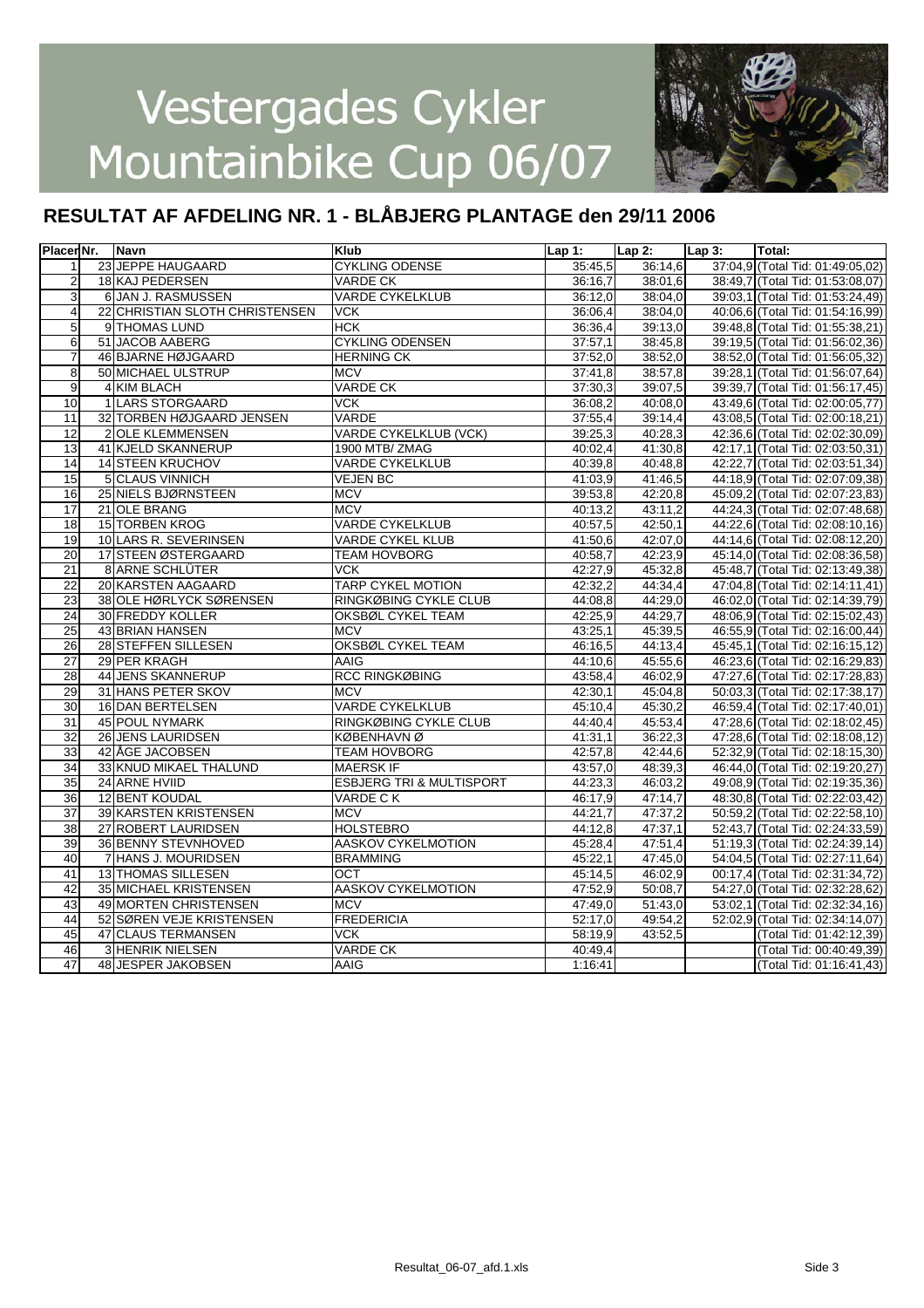

| Placer Nr.              |    | Navn                           | <b>Klub</b>                         | Lap 1:  | $Lap2$ : | $Lap3$ : | Total:                           |
|-------------------------|----|--------------------------------|-------------------------------------|---------|----------|----------|----------------------------------|
| $\mathbf{1}$            |    | 23 JEPPE HAUGAARD              | <b>CYKLING ODENSE</b>               | 35:45.5 | 36:14.6  |          | 37:04,9 (Total Tid: 01:49:05,02) |
| $\overline{c}$          |    | 18 KAJ PEDERSEN                | VARDE CK                            | 36:16,7 | 38:01,6  |          | 38:49,7 (Total Tid: 01:53:08,07) |
| 3                       |    | 6 JAN J. RASMUSSEN             | <b>VARDE CYKELKLUB</b>              | 36:12,0 | 38:04,0  |          | 39:03,1 (Total Tid: 01:53:24,49) |
| $\overline{\mathbf{4}}$ |    | 22 CHRISTIAN SLOTH CHRISTENSEN | <b>VCK</b>                          | 36:06,4 | 38:04.0  |          | 40:06.6 (Total Tid: 01:54:16.99) |
| $\overline{5}$          |    | 9 THOMAS LUND                  | <b>HCK</b>                          | 36:36,4 | 39:13,0  |          | 39:48,8 (Total Tid: 01:55:38,21) |
| $6\overline{6}$         |    | 51 JACOB AABERG                | <b>CYKLING ODENSEN</b>              | 37:57,1 | 38:45.8  |          | 39:19.5 (Total Tid: 01:56:02.36) |
| $\overline{7}$          |    | 46 BJARNE HØJGAARD             | <b>HERNING CK</b>                   | 37:52,0 | 38:52,0  |          | 38:52,0 (Total Tid: 01:56:05,32) |
| 8                       |    | 50 MICHAEL ULSTRUP             | <b>MCV</b>                          | 37:41.8 | 38:57,8  |          | 39:28,1 (Total Tid: 01:56:07,64) |
| $\overline{9}$          |    | 4 KIM BLACH                    | <b>VARDE CK</b>                     | 37:30,3 | 39:07,5  |          | 39:39,7 (Total Tid: 01:56:17,45) |
| 10                      |    | 1 LARS STORGAARD               | <b>VCK</b>                          | 36:08,2 | 40:08,0  |          | 43:49,6 (Total Tid: 02:00:05,77) |
| 11                      |    | 32 TORBEN HØJGAARD JENSEN      | VARDE                               | 37:55,4 | 39:14,4  |          | 43:08,5 (Total Tid: 02:00:18,21) |
| 12                      |    | <b>OLE KLEMMENSEN</b>          | <b>VARDE CYKELKLUB (VCK)</b>        | 39:25.3 | 40:28.3  |          | 42:36,6 (Total Tid: 02:02:30,09) |
| 13                      |    | 41 KJELD SKANNERUP             | 1900 MTB/ZMAG                       | 40:02,4 | 41:30,8  |          | 42:17,1 (Total Tid: 02:03:50,31) |
| 14                      |    | 14 STEEN KRUCHOV               | <b>VARDE CYKELKLUB</b>              | 40:39.8 | 40:48.8  |          | 42:22,7 (Total Tid: 02:03:51,34) |
| 15                      |    | <b>5 CLAUS VINNICH</b>         | <b>VEJEN BC</b>                     | 41:03,9 | 41:46,5  |          | 44:18,9 (Total Tid: 02:07:09,38) |
| 16                      |    | 25 NIELS BJØRNSTEEN            | <b>MCV</b>                          | 39:53,8 | 42:20.8  |          | 45:09,2 (Total Tid: 02:07:23,83) |
| 17                      |    | 21 OLE BRANG                   | <b>MCV</b>                          | 40:13,2 | 43:11,2  |          | 44:24,3 (Total Tid: 02:07:48,68) |
| $\overline{18}$         |    | <b>15 TORBEN KROG</b>          | <b>VARDE CYKELKLUB</b>              | 40:57,5 | 42:50,1  |          | 44:22,6 (Total Tid: 02:08:10,16) |
| 19                      |    | 10 LARS R. SEVERINSEN          | <b>VARDE CYKEL KLUB</b>             | 41:50,6 | 42:07,0  |          | 44:14,6 (Total Tid: 02:08:12,20) |
| 20                      |    | 17 STEEN ØSTERGAARD            | <b>TEAM HOVBORG</b>                 | 40:58,7 | 42:23,9  |          | 45:14,0 (Total Tid: 02:08:36,58) |
| 21                      |    | 8 ARNE SCHLÜTER                | <b>VCK</b>                          | 42:27,9 | 45:32.8  |          | 45:48,7 (Total Tid: 02:13:49,38) |
| 22                      |    | 20 KARSTEN AAGAARD             | TARP CYKEL MOTION                   | 42:32,2 | 44:34,4  |          | 47:04,8 (Total Tid: 02:14:11,41) |
| 23                      |    | 38 OLE HØRLYCK SØRENSEN        | RINGKØBING CYKLE CLUB               | 44:08.8 | 44:29.0  |          | 46:02,0 (Total Tid: 02:14:39,79) |
| 24                      |    | 30 FREDDY KOLLER               | OKSBØL CYKEL TEAM                   | 42:25,9 | 44:29,7  |          | 48:06,9 (Total Tid: 02:15:02,43) |
| $\overline{25}$         |    | 43 BRIAN HANSEN                | <b>MCV</b>                          | 43:25,1 | 45:39.5  |          | 46:55,9 (Total Tid: 02:16:00,44) |
| 26                      |    | 28 STEFFEN SILLESEN            | <b>OKSBØL CYKEL TEAM</b>            | 46:16.5 | 44:13,4  |          | 45:45,1 (Total Tid: 02:16:15,12) |
| 27                      |    | 29 PER KRAGH                   | AAIG                                | 44:10.6 | 45:55.6  |          | 46:23,6 (Total Tid: 02:16:29,83) |
| 28                      |    | 44 JENS SKANNERUP              | <b>RCC RINGKØBING</b>               | 43:58,4 | 46:02,9  |          | 47:27.6 (Total Tid: 02:17:28.83) |
| 29                      |    | 31 HANS PETER SKOV             | <b>MCV</b>                          | 42:30,1 | 45:04,8  |          | 50:03,3 (Total Tid: 02:17:38,17) |
| 30                      |    | 16 DAN BERTELSEN               | <b>VARDE CYKELKLUB</b>              | 45:10,4 | 45:30,2  |          | 46:59,4 (Total Tid: 02:17:40,01) |
| 31                      |    | <b>45 POUL NYMARK</b>          | RINGKØBING CYKLE CLUB               | 44:40.4 | 45:53,4  |          | 47:28,6 (Total Tid: 02:18:02,45) |
| 32                      |    | 26 JENS LAURIDSEN              | <b>KØBENHAVNØ</b>                   | 41:31,1 | 36:22,3  |          | 47:28,6 (Total Tid: 02:18:08,12) |
| 33                      |    | 42 ÅGE JACOBSEN                | <b>TEAM HOVBORG</b>                 | 42:57,8 | 42:44.6  |          | 52:32,9 (Total Tid: 02:18:15,30) |
| $\overline{34}$         |    | 33 KNUD MIKAEL THALUND         | <b>MAERSK IF</b>                    | 43:57,0 | 48:39.3  |          | 46:44,0 (Total Tid: 02:19:20,27) |
| 35                      |    | 24 ARNE HVIID                  | <b>ESBJERG TRI &amp; MULTISPORT</b> | 44:23,3 | 46:03,2  |          | 49:08,9 (Total Tid: 02:19:35,36) |
| $\overline{36}$         |    | 12 BENT KOUDAL                 | VARDE CK                            | 46:17.9 | 47:14,7  |          | 48:30,8 (Total Tid: 02:22:03,42) |
| $\overline{37}$         |    | 39 KARSTEN KRISTENSEN          | <b>MCV</b>                          | 44:21,7 | 47:37,2  |          | 50:59,2 (Total Tid: 02:22:58,10) |
| 38                      |    | 27 ROBERT LAURIDSEN            | HOLSTEBRO                           | 44:12,8 | 47:37.1  |          | 52:43,7 (Total Tid: 02:24:33,59) |
| 39                      |    | 36 BENNY STEVNHOVED            | <b>AASKOV CYKELMOTION</b>           | 45:28,4 | 47:51,4  |          | 51:19,3 (Total Tid: 02:24:39,14) |
| 40                      |    | 7 HANS J. MOURIDSEN            | <b>BRAMMING</b>                     | 45:22,1 | 47:45,0  |          | 54:04,5 (Total Tid: 02:27:11,64) |
| 41                      |    | <b>13 THOMAS SILLESEN</b>      | OCT                                 | 45:14,5 | 46:02,9  |          | 00:17,4 (Total Tid: 02:31:34,72) |
| 42                      |    | 35 MICHAEL KRISTENSEN          | AASKOV CYKELMOTION                  | 47:52,9 | 50:08,7  |          | 54:27,0 (Total Tid: 02:32:28,62) |
| 43                      |    | <b>49 MORTEN CHRISTENSEN</b>   | MCV                                 | 47:49,0 | 51:43,0  |          | 53:02,1 (Total Tid: 02:32:34,16) |
| 44                      | 52 | SØREN VEJE KRISTENSEN          | <b>FREDERICIA</b>                   | 52:17,0 | 49:54,2  |          | 52:02,9 (Total Tid: 02:34:14,07) |
| 45                      | 47 | <b>CLAUS TERMANSEN</b>         | <b>VCK</b>                          | 58:19,9 | 43:52,5  |          | (Total Tid: 01:42:12,39)         |
| 46                      |    | 3 HENRIK NIELSEN               | <b>VARDE CK</b>                     | 40:49,4 |          |          | (Total Tid: 00:40:49,39)         |
| 47                      |    | 48 JESPER JAKOBSEN             | AAIG                                | 1:16:41 |          |          | (Total Tid: 01:16:41,43)         |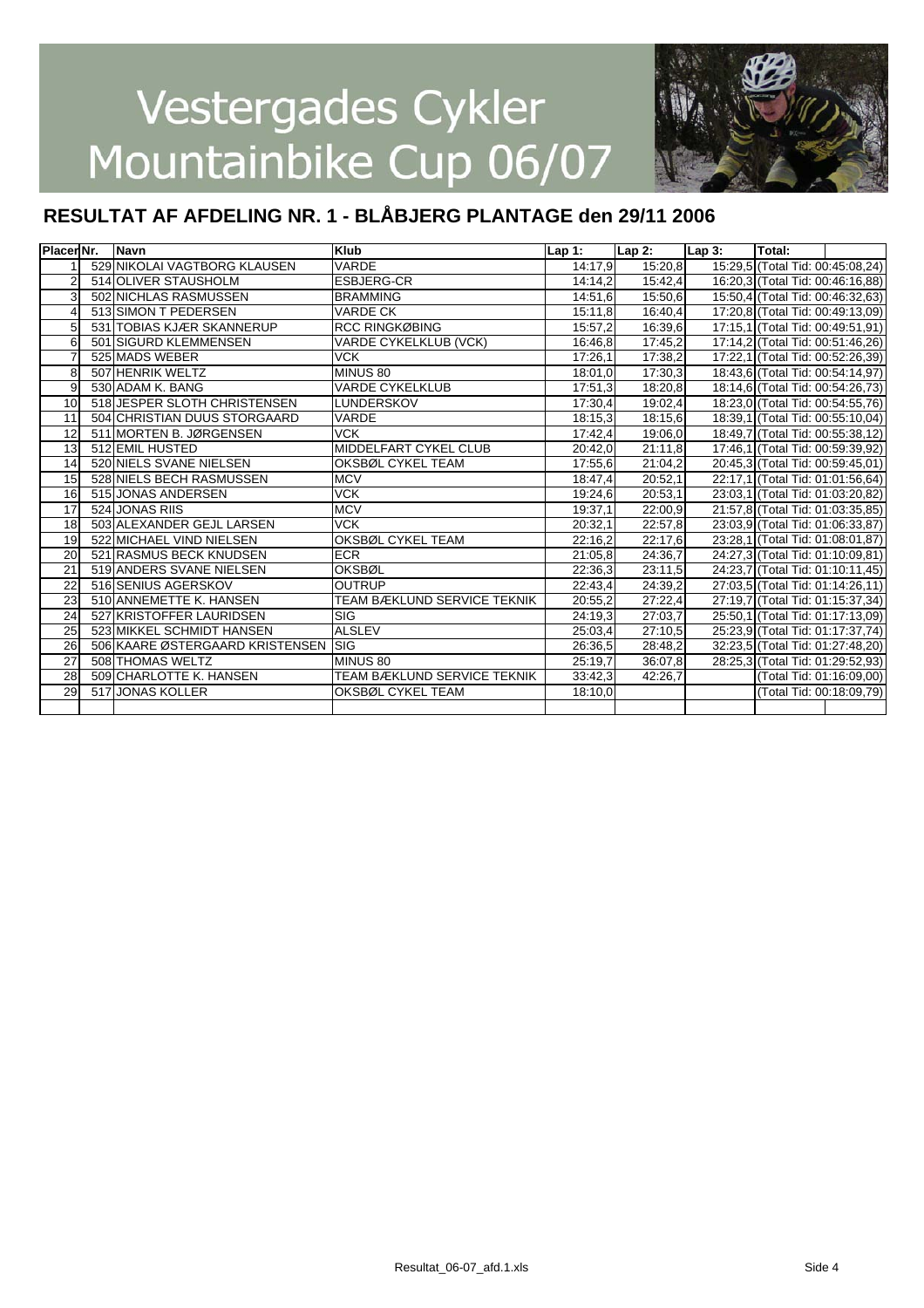

| PlacerINr.      |     | Navn                            | <b>Klub</b>                        | Lap 1:  | $Lap2$ : | $Lap3$ : | Total:                           |  |
|-----------------|-----|---------------------------------|------------------------------------|---------|----------|----------|----------------------------------|--|
|                 |     | 529 NIKOLAI VAGTBORG KLAUSEN    | VARDE                              | 14:17,9 | 15:20.8  |          | 15:29.5 (Total Tid: 00:45:08.24) |  |
|                 |     | 514 OLIVER STAUSHOLM            | <b>ESBJERG-CR</b>                  | 14:14.2 | 15:42,4  |          | 16:20,3 (Total Tid: 00:46:16,88) |  |
| 3               |     | 502 NICHLAS RASMUSSEN           | <b>BRAMMING</b>                    | 14:51,6 | 15:50,6  |          | 15:50,4 (Total Tid: 00:46:32,63) |  |
|                 |     | 513 SIMON T PEDERSEN            | <b>VARDE CK</b>                    | 15:11,8 | 16:40,4  |          | 17:20,8 (Total Tid: 00:49:13,09) |  |
| 5               |     | 531 TOBIAS KJÆR SKANNERUP       | <b>RCC RINGKØBING</b>              | 15:57,2 | 16:39,6  |          | 17:15,1 (Total Tid: 00:49:51,91) |  |
| 6               | 501 | <b>ISIGURD KLEMMENSEN</b>       | <b>VARDE CYKELKLUB (VCK)</b>       | 16:46.8 | 17:45.2  |          | 17:14,2 (Total Tid: 00:51:46,26) |  |
|                 |     | 525 MADS WEBER                  | <b>VCK</b>                         | 17:26.1 | 17:38.2  |          | 17:22,1 (Total Tid: 00:52:26,39) |  |
| 8               |     | 507 HENRIK WELTZ                | MINUS 80                           | 18:01.0 | 17:30,3  |          | 18:43,6 (Total Tid: 00:54:14,97) |  |
| 9               |     | 530 ADAM K. BANG                | <b>VARDE CYKELKLUB</b>             | 17:51,3 | 18:20.8  |          | 18:14,6 (Total Tid: 00:54:26,73) |  |
| 10              |     | 518 JESPER SLOTH CHRISTENSEN    | <b>LUNDERSKOV</b>                  | 17:30,4 | 19:02,4  |          | 18:23,0 (Total Tid: 00:54:55,76) |  |
| 11              |     | 504 CHRISTIAN DUUS STORGAARD    | <b>VARDE</b>                       | 18:15,3 | 18:15,6  |          | 18:39,1 (Total Tid: 00:55:10,04) |  |
| 12              |     | 511 MORTEN B. JØRGENSEN         | <b>VCK</b>                         | 17:42,4 | 19:06.0  |          | 18:49,7 (Total Tid: 00:55:38,12) |  |
| 13              |     | 512 EMIL HUSTED                 | MIDDELFART CYKEL CLUB              | 20:42.0 | 21:11,8  |          | 17:46,1 (Total Tid: 00:59:39,92) |  |
| 14              |     | 520 NIELS SVANE NIELSEN         | OKSBØL CYKEL TEAM                  | 17:55.6 | 21:04.2  |          | 20:45,3 (Total Tid: 00:59:45,01) |  |
| 15              |     | 528 NIELS BECH RASMUSSEN        | <b>MCV</b>                         | 18:47,4 | 20:52,1  |          | 22:17,1 (Total Tid: 01:01:56,64) |  |
| 16              |     | 515 JONAS ANDERSEN              | <b>VCK</b>                         | 19:24,6 | 20:53.1  |          | 23:03,1 (Total Tid: 01:03:20,82) |  |
| 17              |     | 524 JONAS RIIS                  | <b>MCV</b>                         | 19:37,1 | 22:00.9  |          | 21:57,8 (Total Tid: 01:03:35,85) |  |
| 18              |     | 503 ALEXANDER GEJL LARSEN       | <b>VCK</b>                         | 20:32,1 | 22:57,8  |          | 23:03,9 (Total Tid: 01:06:33,87) |  |
| 19              |     | 522 MICHAEL VIND NIELSEN        | <b>OKSBØL CYKEL TEAM</b>           | 22:16,2 | 22:17,6  |          | 23:28,1 (Total Tid: 01:08:01,87) |  |
| 20              |     | 521 RASMUS BECK KNUDSEN         | <b>ECR</b>                         | 21:05,8 | 24:36,7  |          | 24:27,3 (Total Tid: 01:10:09,81) |  |
| 21              |     | 519 ANDERS SVANE NIELSEN        | <b>OKSBØL</b>                      | 22:36,3 | 23:11,5  |          | 24:23,7 (Total Tid: 01:10:11,45) |  |
| 22              |     | 516 SENIUS AGERSKOV             | <b>OUTRUP</b>                      | 22:43,4 | 24:39.2  |          | 27:03.5 (Total Tid: 01:14:26.11) |  |
| 23              |     | 510 ANNEMETTE K. HANSEN         | <b>TEAM BÆKLUND SERVICE TEKNIK</b> | 20:55,2 | 27:22,4  |          | 27:19.7 (Total Tid: 01:15:37.34) |  |
| 24              |     | 527 KRISTOFFER LAURIDSEN        | <b>SIG</b>                         | 24:19,3 | 27:03.7  |          | 25:50,1 (Total Tid: 01:17:13,09) |  |
| 25              |     | 523 MIKKEL SCHMIDT HANSEN       | <b>ALSLEV</b>                      | 25:03,4 | 27:10.5  |          | 25:23,9 (Total Tid: 01:17:37,74) |  |
| $\overline{26}$ |     | 506 KAARE ØSTERGAARD KRISTENSEN | <b>ISIG</b>                        | 26:36,5 | 28:48,2  |          | 32:23,5 (Total Tid: 01:27:48,20) |  |
| 27              |     | 508 THOMAS WELTZ                | MINUS 80                           | 25:19,7 | 36:07,8  |          | 28:25,3 (Total Tid: 01:29:52,93) |  |
| 28              |     | 509 CHARLOTTE K. HANSEN         | <b>TEAM BÆKLUND SERVICE TEKNIK</b> | 33:42.3 | 42:26.7  |          | (Total Tid: 01:16:09,00)         |  |
| 29              |     | 517 JONAS KOLLER                | OKSBØL CYKEL TEAM                  | 18:10,0 |          |          | (Total Tid: 00:18:09.79)         |  |
|                 |     |                                 |                                    |         |          |          |                                  |  |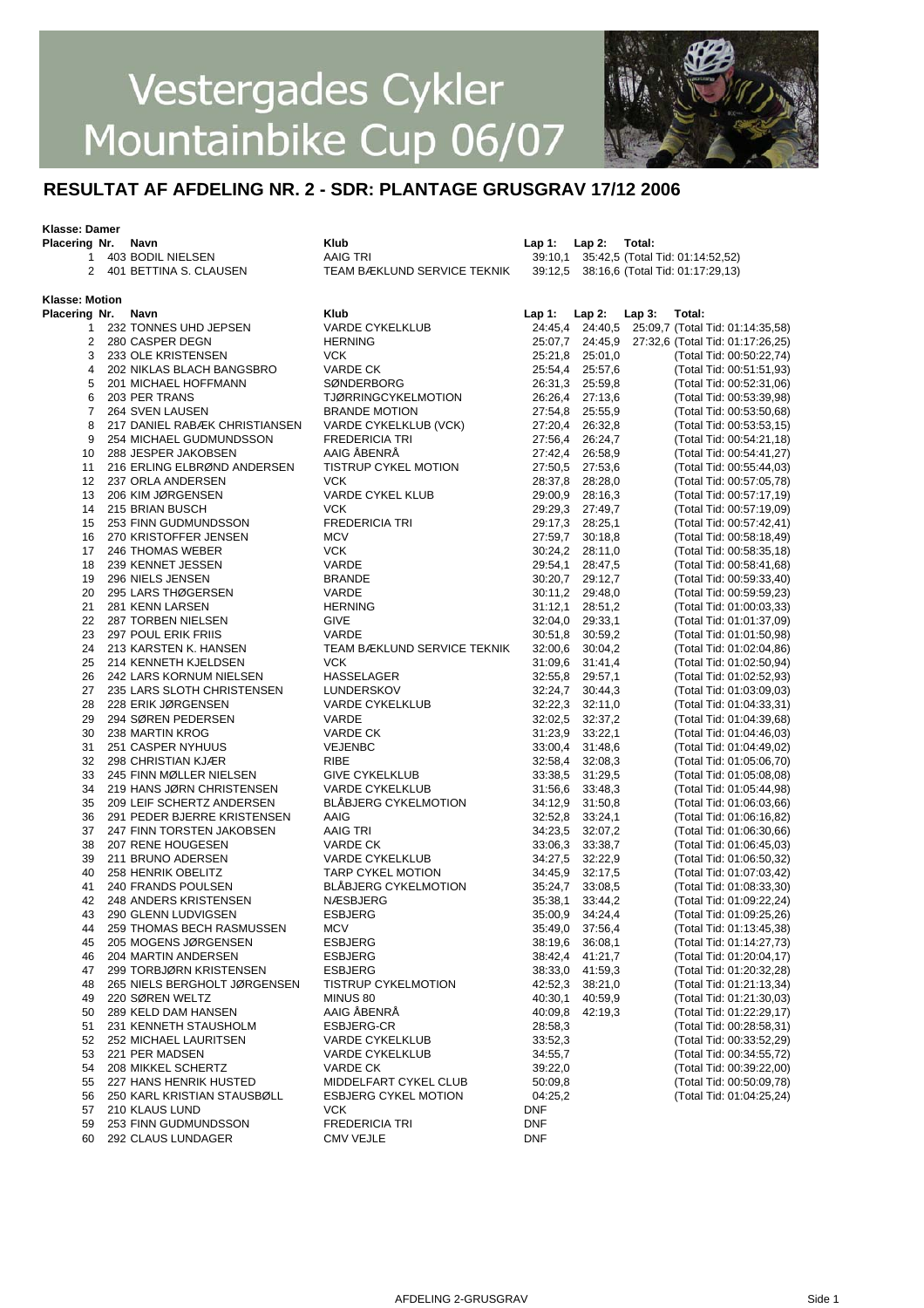

#### **RESULTAT AF AFDELING NR. 2 - SDR: PLANTAGE GRUSGRAV 17/12 2006**

#### **Klasse: Damer**

| Placering Nr. Navn    |                                              | <b>Klub</b>                        | Lap 1: Lap 2: |                            | Total:   |                                                      |
|-----------------------|----------------------------------------------|------------------------------------|---------------|----------------------------|----------|------------------------------------------------------|
| $\mathbf{1}$          | 403 BODIL NIELSEN                            | <b>AAIG TRI</b>                    |               |                            |          | 39:10,1 35:42,5 (Total Tid: 01:14:52,52)             |
| 2                     | 401 BETTINA S. CLAUSEN                       | TEAM BÆKLUND SERVICE TEKNIK        |               |                            |          | 39:12,5 38:16,6 (Total Tid: 01:17:29,13)             |
|                       |                                              |                                    |               |                            |          |                                                      |
| <b>Klasse: Motion</b> |                                              |                                    |               |                            |          |                                                      |
| Placering Nr.         | Navn                                         | <b>Klub</b>                        | Lap 1:        | $Lap2$ :                   | $Lap3$ : | Total:                                               |
| 1                     | 232 TONNES UHD JEPSEN                        | <b>VARDE CYKELKLUB</b>             |               |                            |          | 24:45,4 24:40,5 25:09,7 (Total Tid: 01:14:35,58)     |
| 2                     | 280 CASPER DEGN                              | <b>HERNING</b>                     |               |                            |          | 25:07,7 24:45,9 27:32,6 (Total Tid: 01:17:26,25)     |
| 3                     | 233 OLE KRISTENSEN                           | <b>VCK</b>                         |               | 25:21,8 25:01,0            |          | (Total Tid: 00:50:22,74)                             |
| 4                     | 202 NIKLAS BLACH BANGSBRO                    | VARDE CK                           |               | 25:54,4 25:57,6            |          | (Total Tid: 00:51:51,93)                             |
| 5                     | 201 MICHAEL HOFFMANN                         | SØNDERBORG                         |               | 26:31,3 25:59,8            |          | (Total Tid: 00:52:31,06)                             |
| 6                     | 203 PER TRANS                                | <b>TJØRRINGCYKELMOTION</b>         |               | 26:26,4 27:13,6            |          | (Total Tid: 00:53:39,98)                             |
| 7                     | 264 SVEN LAUSEN                              | <b>BRANDE MOTION</b>               |               | 27:54,8 25:55,9            |          | (Total Tid: 00:53:50,68)                             |
| 8                     | 217 DANIEL RABÆK CHRISTIANSEN                | VARDE CYKELKLUB (VCK)              |               | 27:20,4 26:32,8            |          | (Total Tid: 00:53:53,15)                             |
| 9                     | 254 MICHAEL GUDMUNDSSON                      | <b>FREDERICIA TRI</b>              |               | 27:56,4 26:24,7            |          | (Total Tid: 00:54:21,18)                             |
| 10                    | 288 JESPER JAKOBSEN                          | AAIG ÅBENRÅ                        |               | 27:42,4 26:58,9            |          | (Total Tid: 00:54:41,27)                             |
| 11                    | 216 ERLING ELBRØND ANDERSEN                  | TISTRUP CYKEL MOTION               |               | 27:50,5 27:53,6            |          | (Total Tid: 00:55:44,03)                             |
| 12 <sup>°</sup>       | 237 ORLA ANDERSEN                            | <b>VCK</b>                         |               | 28:37,8 28:28,0            |          | (Total Tid: 00:57:05,78)                             |
| 13                    | 206 KIM JØRGENSEN                            | VARDE CYKEL KLUB                   |               | 29:00,9 28:16,3            |          | (Total Tid: 00:57:17,19)                             |
| 14                    | 215 BRIAN BUSCH                              | <b>VCK</b>                         |               | 29:29,3 27:49,7            |          | (Total Tid: 00:57:19,09)                             |
| 15                    | 253 FINN GUDMUNDSSON                         | <b>FREDERICIA TRI</b>              |               | 29:17,3 28:25,1            |          | (Total Tid: 00:57:42,41)                             |
| 16                    | 270 KRISTOFFER JENSEN                        | <b>MCV</b>                         |               | 27:59,7 30:18,8            |          | (Total Tid: 00:58:18,49)                             |
| 17                    | 246 THOMAS WEBER                             | <b>VCK</b>                         |               | 30:24,2 28:11,0            |          | (Total Tid: 00:58:35,18)                             |
| 18                    | 239 KENNET JESSEN                            | VARDE                              |               | 29:54,1 28:47,5            |          | (Total Tid: 00:58:41,68)                             |
| 19                    | 296 NIELS JENSEN                             | <b>BRANDE</b>                      |               | 30:20,7 29:12,7            |          | (Total Tid: 00:59:33,40)                             |
| 20                    | 295 LARS THØGERSEN                           | VARDE                              |               | 30:11,2 29:48,0            |          | (Total Tid: 00:59:59,23)                             |
| 21                    | 281 KENN LARSEN                              | <b>HERNING</b>                     |               | 31:12,1 28:51,2            |          | (Total Tid: 01:00:03,33)                             |
| 22                    | 287 TORBEN NIELSEN                           | <b>GIVE</b>                        |               | 32:04,0 29:33,1            |          | (Total Tid: 01:01:37,09)                             |
| 23                    | 297 POUL ERIK FRIIS                          | VARDE                              |               | 30:51,8 30:59,2            |          | (Total Tid: 01:01:50,98)                             |
| 24                    | 213 KARSTEN K. HANSEN                        | TEAM BÆKLUND SERVICE TEKNIK        |               | 32:00.6 30:04.2            |          | (Total Tid: 01:02:04,86)                             |
| 25                    | 214 KENNETH KJELDSEN                         | <b>VCK</b>                         |               | 31:09,6 31:41,4            |          | (Total Tid: 01:02:50,94)                             |
| 26                    | 242 LARS KORNUM NIELSEN                      | HASSELAGER                         |               | 32:55,8 29:57,1            |          | (Total Tid: 01:02:52,93)                             |
| 27                    | 235 LARS SLOTH CHRISTENSEN                   | LUNDERSKOV                         |               | 32:24,7 30:44,3            |          | (Total Tid: 01:03:09,03)                             |
| 28                    | 228 ERIK JØRGENSEN                           | <b>VARDE CYKELKLUB</b>             |               | 32:22,3 32:11,0            |          | (Total Tid: 01:04:33,31)                             |
| 29                    | 294 SØREN PEDERSEN                           | VARDE                              |               | 32:02,5 32:37,2            |          | (Total Tid: 01:04:39,68)                             |
| 30                    | 238 MARTIN KROG                              | VARDE CK                           |               | 31:23,9 33:22,1            |          | (Total Tid: 01:04:46,03)                             |
| 31                    | 251 CASPER NYHUUS                            | VEJENBC                            |               | 33:00,4 31:48,6            |          | (Total Tid: 01:04:49,02)                             |
| 32                    | 298 CHRISTIAN KJÆR                           | <b>RIBE</b>                        |               | 32:58,4 32:08,3            |          | (Total Tid: 01:05:06,70)                             |
| 33                    | 245 FINN MØLLER NIELSEN                      | <b>GIVE CYKELKLUB</b>              |               | 33:38,5 31:29,5            |          | (Total Tid: 01:05:08,08)                             |
| 34                    | 219 HANS JØRN CHRISTENSEN                    | <b>VARDE CYKELKLUB</b>             |               | 31:56,6 33:48,3            |          | (Total Tid: 01:05:44,98)                             |
| 35                    | 209 LEIF SCHERTZ ANDERSEN                    | <b>BLÅBJERG CYKELMOTION</b>        |               | 34:12,9 31:50,8            |          | (Total Tid: 01:06:03,66)                             |
| 36                    | 291 PEDER BJERRE KRISTENSEN                  | AAIG                               |               | 32:52,8 33:24,1            |          |                                                      |
| 37                    |                                              | AAIG TRI                           |               |                            |          | (Total Tid: 01:06:16,82)                             |
| 38                    | 247 FINN TORSTEN JAKOBSEN                    |                                    | 34:23,5       | 32:07,2<br>33:06,3 33:38,7 |          | (Total Tid: 01:06:30,66)                             |
| 39                    | 207 RENE HOUGESEN<br>211 BRUNO ADERSEN       | VARDE CK<br><b>VARDE CYKELKLUB</b> |               | 34:27.5 32:22.9            |          | (Total Tid: 01:06:45,03)<br>(Total Tid: 01:06:50,32) |
| 40                    | 258 HENRIK OBELITZ                           | <b>TARP CYKEL MOTION</b>           |               | 34:45,9 32:17,5            |          |                                                      |
| 41                    | 240 FRANDS POULSEN                           | <b>BLÅBJERG CYKELMOTION</b>        |               | 35:24,7 33:08,5            |          | (Total Tid: 01:07:03,42)<br>(Total Tid: 01:08:33,30) |
| 42                    |                                              | NÆSBJERG                           |               |                            |          |                                                      |
| 43                    | 248 ANDERS KRISTENSEN<br>290 GLENN LUDVIGSEN |                                    |               | 35:38,1 33:44,2            |          | (Total Tid: 01:09:22,24)                             |
|                       | 259 THOMAS BECH RASMUSSEN                    | <b>ESBJERG</b>                     |               | 35:00,9 34:24,4            |          | (Total Tid: 01:09:25,26)                             |
| 44                    |                                              | MCV                                |               | 35:49,0 37:56,4            |          | (Total Tid: 01:13:45,38)                             |
| 45                    | 205 MOGENS JØRGENSEN                         | ESBJERG                            |               | 38:19,6 36:08,1            |          | (Total Tid: 01:14:27,73)                             |
| 46                    | 204 MARTIN ANDERSEN                          | <b>ESBJERG</b>                     |               | 38:42,4 41:21,7            |          | (Total Tid: 01:20:04,17)                             |
| 47                    | 299 TORBJØRN KRISTENSEN                      | ESBJERG                            |               | 38:33,0 41:59,3            |          | (Total Tid: 01:20:32,28)                             |
| 48                    | 265 NIELS BERGHOLT JØRGENSEN                 | <b>TISTRUP CYKELMOTION</b>         |               | 42:52,3 38:21,0            |          | (Total Tid: 01:21:13,34)                             |
| 49                    | 220 SØREN WELTZ                              | MINUS 80                           | 40:30,1       | 40:59,9                    |          | (Total Tid: 01:21:30,03)                             |
| 50                    | 289 KELD DAM HANSEN                          | AAIG ABENRA                        | 40:09,8       | 42:19,3                    |          | (Total Tid: 01:22:29,17)                             |
| 51                    | 231 KENNETH STAUSHOLM                        | ESBJERG-CR                         | 28:58,3       |                            |          | (Total Tid: 00:28:58,31)                             |
| 52                    | 252 MICHAEL LAURITSEN                        | <b>VARDE CYKELKLUB</b>             | 33:52,3       |                            |          | (Total Tid: 00:33:52,29)                             |
| 53                    | 221 PER MADSEN                               | <b>VARDE CYKELKLUB</b>             | 34:55,7       |                            |          | (Total Tid: 00:34:55,72)                             |
| 54                    | 208 MIKKEL SCHERTZ                           | VARDE CK                           | 39:22,0       |                            |          | (Total Tid: 00:39:22,00)                             |
| 55                    | 227 HANS HENRIK HUSTED                       | MIDDELFART CYKEL CLUB              | 50:09,8       |                            |          | (Total Tid: 00:50:09,78)                             |
| 56                    | 250 KARL KRISTIAN STAUSBØLL                  | <b>ESBJERG CYKEL MOTION</b>        | 04:25,2       |                            |          | (Total Tid: 01:04:25,24)                             |
| 57                    | 210 KLAUS LUND                               | <b>VCK</b>                         | DNF           |                            |          |                                                      |
| 59                    | 253 FINN GUDMUNDSSON                         | <b>FREDERICIA TRI</b>              | <b>DNF</b>    |                            |          |                                                      |
|                       | 60 292 CLAUS LUNDAGER                        | <b>CMV VEJLE</b>                   | <b>DNF</b>    |                            |          |                                                      |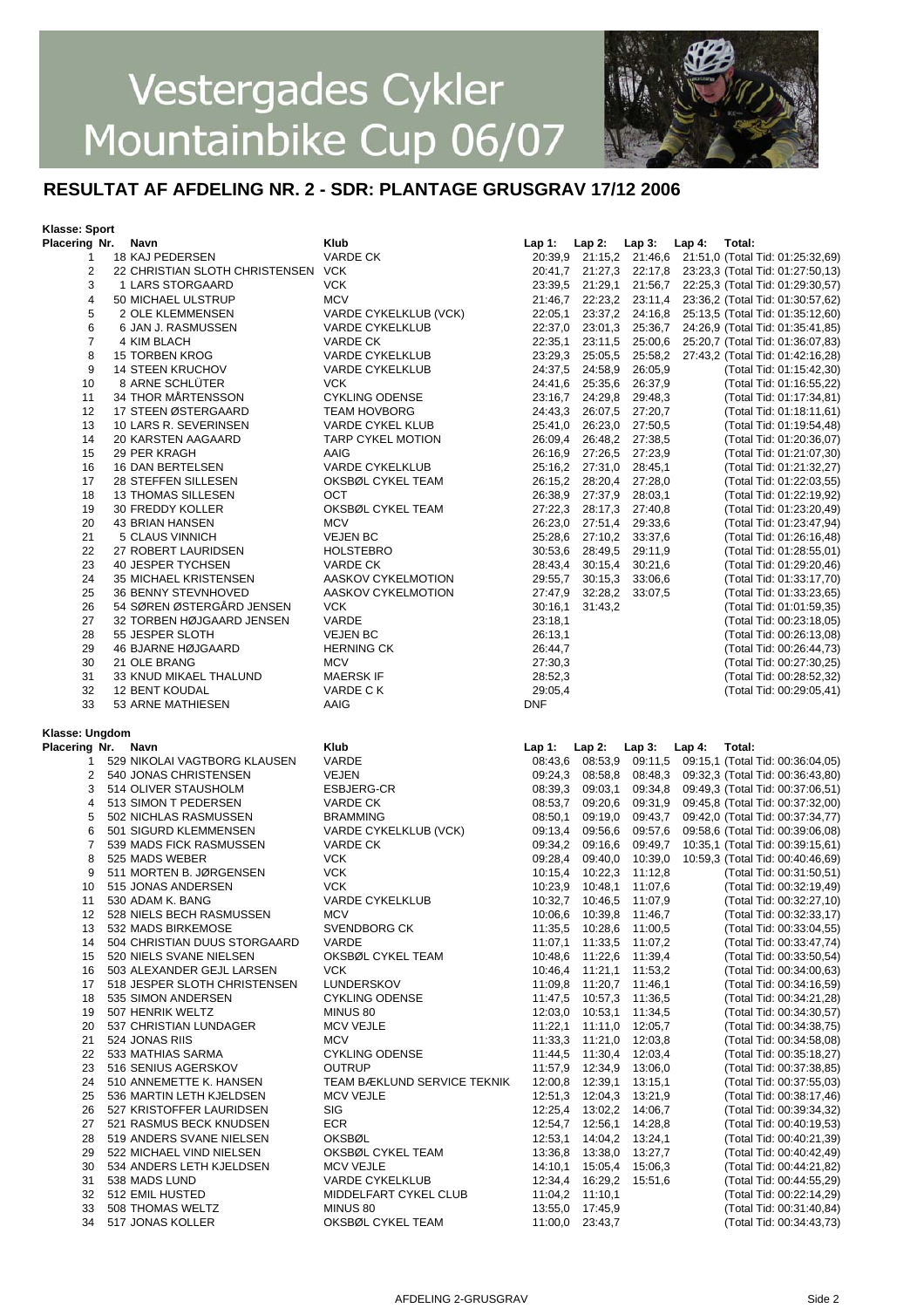

#### **RESULTAT AF AFDELING NR. 2 - SDR: PLANTAGE GRUSGRAV 17/12 2006**

#### **Klasse: Sport**

| Placering Nr.  | Navn                               | Klub                        | Lap 1:     | $Lap2$ :                | Lap $3:$ Lap $4:$ | Total:                                                   |
|----------------|------------------------------------|-----------------------------|------------|-------------------------|-------------------|----------------------------------------------------------|
| 1              | 18 KAJ PEDERSEN                    | <b>VARDE CK</b>             |            |                         |                   | 20:39,9 21:15,2 21:46,6 21:51,0 (Total Tid: 01:25:32,69) |
| 2              | 22 CHRISTIAN SLOTH CHRISTENSEN VCK |                             |            |                         |                   | 20:41,7 21:27,3 22:17,8 23:23,3 (Total Tid: 01:27:50,13) |
| 3              | 1 LARS STORGAARD                   | <b>VCK</b>                  | 23:39,5    |                         | 21:29,1 21:56,7   | 22:25,3 (Total Tid: 01:29:30,57)                         |
| 4              | 50 MICHAEL ULSTRUP                 | <b>MCV</b>                  |            | 21:46,7 22:23,2 23:11,4 |                   | 23:36,2 (Total Tid: 01:30:57,62)                         |
| 5              | 2 OLE KLEMMENSEN                   | VARDE CYKELKLUB (VCK)       | 22:05,1    |                         |                   | 23:37,2 24:16,8 25:13,5 (Total Tid: 01:35:12,60)         |
| 6              | 6 JAN J. RASMUSSEN                 | <b>VARDE CYKELKLUB</b>      | 22:37,0    |                         | 23:01.3 25:36.7   | 24:26,9 (Total Tid: 01:35:41,85)                         |
| 7              | 4 KIM BLACH                        | VARDE CK                    | 22:35,1    |                         | 23:11,5 25:00,6   | 25:20,7 (Total Tid: 01:36:07,83)                         |
|                |                                    |                             |            |                         |                   |                                                          |
| 8              | <b>15 TORBEN KROG</b>              | <b>VARDE CYKELKLUB</b>      | 23:29,3    |                         | 25:05,5 25:58,2   | 27:43,2 (Total Tid: 01:42:16,28)                         |
| 9              | <b>14 STEEN KRUCHOV</b>            | <b>VARDE CYKELKLUB</b>      |            | 24:37,5 24:58,9 26:05,9 |                   | (Total Tid: 01:15:42,30)                                 |
| 10             | 8 ARNE SCHLÜTER                    | <b>VCK</b>                  | 24:41,6    |                         | 25:35,6 26:37,9   | (Total Tid: 01:16:55,22)                                 |
| 11             | 34 THOR MÅRTENSSON                 | <b>CYKLING ODENSE</b>       |            | 23:16,7 24:29,8 29:48,3 |                   | (Total Tid: 01:17:34,81)                                 |
| 12             | 17 STEEN ØSTERGAARD                | <b>TEAM HOVBORG</b>         | 24:43,3    |                         | 26:07,5 27:20,7   | (Total Tid: 01:18:11,61)                                 |
| 13             | 10 LARS R. SEVERINSEN              | VARDE CYKEL KLUB            | 25:41,0    |                         | 26:23,0 27:50,5   | (Total Tid: 01:19:54,48)                                 |
| 14             | 20 KARSTEN AAGAARD                 | TARP CYKEL MOTION           | 26:09,4    |                         | 26:48,2 27:38,5   | (Total Tid: 01:20:36,07)                                 |
| 15             | 29 PER KRAGH                       | AAIG                        |            | 26:16,9 27:26,5 27:23,9 |                   | (Total Tid: 01:21:07,30)                                 |
| 16             | 16 DAN BERTELSEN                   | <b>VARDE CYKELKLUB</b>      |            | 25:16,2 27:31,0 28:45,1 |                   | (Total Tid: 01:21:32,27)                                 |
| 17             | 28 STEFFEN SILLESEN                | OKSBØL CYKEL TEAM           |            | 26:15,2 28:20,4 27:28,0 |                   | (Total Tid: 01:22:03,55)                                 |
| 18             | <b>13 THOMAS SILLESEN</b>          | OCT                         | 26:38,9    |                         | 27:37,9 28:03,1   | (Total Tid: 01:22:19,92)                                 |
| 19             | 30 FREDDY KOLLER                   | OKSBØL CYKEL TEAM           | 27:22,3    |                         | 28:17,3 27:40,8   | (Total Tid: 01:23:20,49)                                 |
| 20             | 43 BRIAN HANSEN                    | <b>MCV</b>                  | 26:23,0    |                         | 27:51,4 29:33,6   | (Total Tid: 01:23:47,94)                                 |
| 21             | 5 CLAUS VINNICH                    | <b>VEJEN BC</b>             | 25:28,6    |                         | 27:10,2 33:37,6   | (Total Tid: 01:26:16,48)                                 |
| 22             | 27 ROBERT LAURIDSEN                | <b>HOLSTEBRO</b>            | 30:53,6    |                         | 28:49,5 29:11,9   | (Total Tid: 01:28:55,01)                                 |
|                | 40 JESPER TYCHSEN                  |                             | 28:43,4    |                         | 30:21,6           |                                                          |
| 23             |                                    | VARDE CK                    |            | 30:15,4                 |                   | (Total Tid: 01:29:20,46)                                 |
| 24             | 35 MICHAEL KRISTENSEN              | AASKOV CYKELMOTION          | 29:55,7    | 30:15.3                 | 33:06,6           | (Total Tid: 01:33:17,70)                                 |
| 25             | 36 BENNY STEVNHOVED                | AASKOV CYKELMOTION          | 27:47,9    |                         | 32:28,2 33:07,5   | (Total Tid: 01:33:23,65)                                 |
| 26             | 54 SØREN ØSTERGÅRD JENSEN          | <b>VCK</b>                  | 30:16,1    | 31:43,2                 |                   | (Total Tid: 01:01:59,35)                                 |
| 27             | 32 TORBEN HØJGAARD JENSEN          | VARDE                       | 23:18,1    |                         |                   | (Total Tid: 00:23:18,05)                                 |
| 28             | 55 JESPER SLOTH                    | <b>VEJEN BC</b>             | 26:13,1    |                         |                   | (Total Tid: 00:26:13,08)                                 |
| 29             | 46 BJARNE HØJGAARD                 | <b>HERNING CK</b>           | 26:44,7    |                         |                   | (Total Tid: 00:26:44,73)                                 |
| 30             | 21 OLE BRANG                       | <b>MCV</b>                  | 27:30,3    |                         |                   | (Total Tid: 00:27:30,25)                                 |
| 31             | 33 KNUD MIKAEL THALUND             | <b>MAERSK IF</b>            | 28:52,3    |                         |                   | (Total Tid: 00:28:52,32)                                 |
| 32             | 12 BENT KOUDAL                     | VARDE CK                    | 29:05,4    |                         |                   | (Total Tid: 00:29:05,41)                                 |
| 33             | 53 ARNE MATHIESEN                  | AAIG                        | <b>DNF</b> |                         |                   |                                                          |
|                |                                    |                             |            |                         |                   |                                                          |
|                |                                    |                             |            |                         |                   |                                                          |
|                |                                    |                             |            |                         |                   |                                                          |
| Klasse: Ungdom |                                    |                             |            |                         |                   |                                                          |
| Placering Nr.  | Navn                               | Klub                        | $Lap1$ :   | $Lap2$ :                | Lap $3:$ Lap $4:$ | Total:                                                   |
| 1              | 529 NIKOLAI VAGTBORG KLAUSEN       | VARDE                       | 08:43,6    |                         |                   | 08:53,9 09:11,5 09:15,1 (Total Tid: 00:36:04,05)         |
| 2              | 540 JONAS CHRISTENSEN              | <b>VEJEN</b>                | 09:24,3    |                         | 08:58,8 08:48,3   | 09:32,3 (Total Tid: 00:36:43,80)                         |
| 3              | 514 OLIVER STAUSHOLM               | ESBJERG-CR                  | 08:39,3    |                         | 09:03,1 09:34,8   | 09:49,3 (Total Tid: 00:37:06,51)                         |
| 4              | 513 SIMON T PEDERSEN               | VARDE CK                    | 08:53,7    |                         | 09:20,6 09:31,9   | 09:45,8 (Total Tid: 00:37:32,00)                         |
| 5              | 502 NICHLAS RASMUSSEN              | <b>BRAMMING</b>             | 08:50,1    |                         | 09:19,0 09:43,7   | 09:42,0 (Total Tid: 00:37:34,77)                         |
| 6              | 501 SIGURD KLEMMENSEN              | VARDE CYKELKLUB (VCK)       | 09:13,4    |                         | 09:56,6 09:57,6   | 09:58,6 (Total Tid: 00:39:06,08)                         |
| 7              | 539 MADS FICK RASMUSSEN            | <b>VARDE CK</b>             | 09:34,2    |                         | 09:16,6 09:49,7   | 10:35,1 (Total Tid: 00:39:15,61)                         |
| 8              | 525 MADS WEBER                     | <b>VCK</b>                  | 09:28,4    |                         | 09:40,0 10:39,0   | 10.59,3 (Total Tid: 00:40:46,69)                         |
| 9              | 511 MORTEN B. JØRGENSEN            | <b>VCK</b>                  | 10:15,4    |                         | 10:22,3 11:12,8   | (Total Tid: 00:31:50,51)                                 |
| 10             | 515 JONAS ANDERSEN                 | <b>VCK</b>                  | 10:23,9    | 10:48,1                 | 11:07.6           | (Total Tid: 00:32:19,49)                                 |
| 11             | 530 ADAM K. BANG                   | <b>VARDE CYKELKLUB</b>      |            | 10:32,7 10:46,5 11:07,9 |                   | (Total Tid: 00:32:27,10)                                 |
| 12             | 528 NIELS BECH RASMUSSEN           | <b>MCV</b>                  | 10:06.6    |                         | 10:39,8 11:46,7   | (Total Tid: 00:32:33,17)                                 |
| 13             | 532 MADS BIRKEMOSE                 | SVENDBORG CK                |            | 11:35,5 10:28,6 11:00,5 |                   | (Total Tid: 00:33:04,55)                                 |
| 14             | 504 CHRISTIAN DUUS STORGAARD       | VARDE                       | 11:07,1    |                         | 11:33.5 11:07.2   | (Total Tid: 00:33:47,74)                                 |
| 15             | 520 NIELS SVANE NIELSEN            | OKSBØL CYKEL TEAM           | 10:48,6    | 11:22,6                 | 11:39,4           | (Total Tid: 00:33:50,54)                                 |
| 16             | 503 ALEXANDER GEJL LARSEN          | <b>VCK</b>                  | 10:46,4    | 11:21,1                 | 11:53,2           | (Total Tid: 00:34:00,63)                                 |
|                |                                    |                             |            |                         |                   |                                                          |
| 17             | 518 JESPER SLOTH CHRISTENSEN       | LUNDERSKOV                  | 11:09,8    | 11:20,7                 | 11:46,1           | (Total Tid: 00:34:16,59)                                 |
| 18             | 535 SIMON ANDERSEN                 | <b>CYKLING ODENSE</b>       | 11:47,5    |                         | 10:57,3 11:36,5   | (Total Tid: 00:34:21,28)                                 |
| 19             | 507 HENRIK WELTZ                   | MINUS 80                    | 12:03,0    | 10:53,1                 | 11:34,5           | (Total Tid: 00:34:30,57)                                 |
| 20             | 537 CHRISTIAN LUNDAGER             | <b>MCV VEJLE</b>            | 11:22,1    | 11:11,0                 | 12:05,7           | (Total Tid: 00:34:38,75)                                 |
| 21             | 524 JONAS RIIS                     | <b>MCV</b>                  | 11:33,3    | 11:21,0                 | 12:03,8           | (Total Tid: 00:34:58,08)                                 |
| 22             | 533 MATHIAS SARMA                  | <b>CYKLING ODENSE</b>       | 11:44,5    | 11:30,4                 | 12:03,4           | (Total Tid: 00:35:18,27)                                 |
| 23             | 516 SENIUS AGERSKOV                | <b>OUTRUP</b>               | 11:57,9    | 12:34,9                 | 13:06,0           | (Total Tid: 00:37:38,85)                                 |
| 24             | 510 ANNEMETTE K. HANSEN            | TEAM BÆKLUND SERVICE TEKNIK | 12:00,8    | 12:39,1                 | 13:15,1           | (Total Tid: 00:37:55,03)                                 |
| 25             | 536 MARTIN LETH KJELDSEN           | <b>MCV VEJLE</b>            | 12:51,3    | 12:04,3                 | 13:21,9           | (Total Tid: 00:38:17,46)                                 |
| 26             | 527 KRISTOFFER LAURIDSEN           | SIG                         | 12:25,4    |                         | 13:02,2 14:06,7   | (Total Tid: 00:39:34,32)                                 |
| 27             | 521 RASMUS BECK KNUDSEN            | <b>ECR</b>                  | 12:54,7    | 12:56,1                 | 14:28,8           | (Total Tid: 00:40:19,53)                                 |
| 28             | 519 ANDERS SVANE NIELSEN           | <b>OKSBØL</b>               | 12:53,1    |                         | 14:04,2 13:24,1   | (Total Tid: 00:40:21,39)                                 |
| 29             | 522 MICHAEL VIND NIELSEN           | OKSBØL CYKEL TEAM           | 13:36,8    | 13:38,0                 | 13:27,7           | (Total Tid: 00:40:42,49)                                 |
| 30             | 534 ANDERS LETH KJELDSEN           | <b>MCV VEJLE</b>            | 14:10,1    | 15:05,4                 | 15:06,3           | (Total Tid: 00:44:21,82)                                 |
| 31             | 538 MADS LUND                      | <b>VARDE CYKELKLUB</b>      | 12:34,4    |                         | 16:29,2 15:51,6   | (Total Tid: 00:44:55,29)                                 |
| 32             | 512 EMIL HUSTED                    | MIDDELFART CYKEL CLUB       | 11:04,2    | 11:10,1                 |                   | (Total Tid: 00:22:14,29)                                 |
| 33             | 508 THOMAS WELTZ                   | MINUS 80                    | 13:55,0    | 17:45,9                 |                   | (Total Tid: 00:31:40,84)                                 |
| 34             | 517 JONAS KOLLER                   | OKSBØL CYKEL TEAM           | 11:00,0    | 23:43,7                 |                   | (Total Tid: 00:34:43,73)                                 |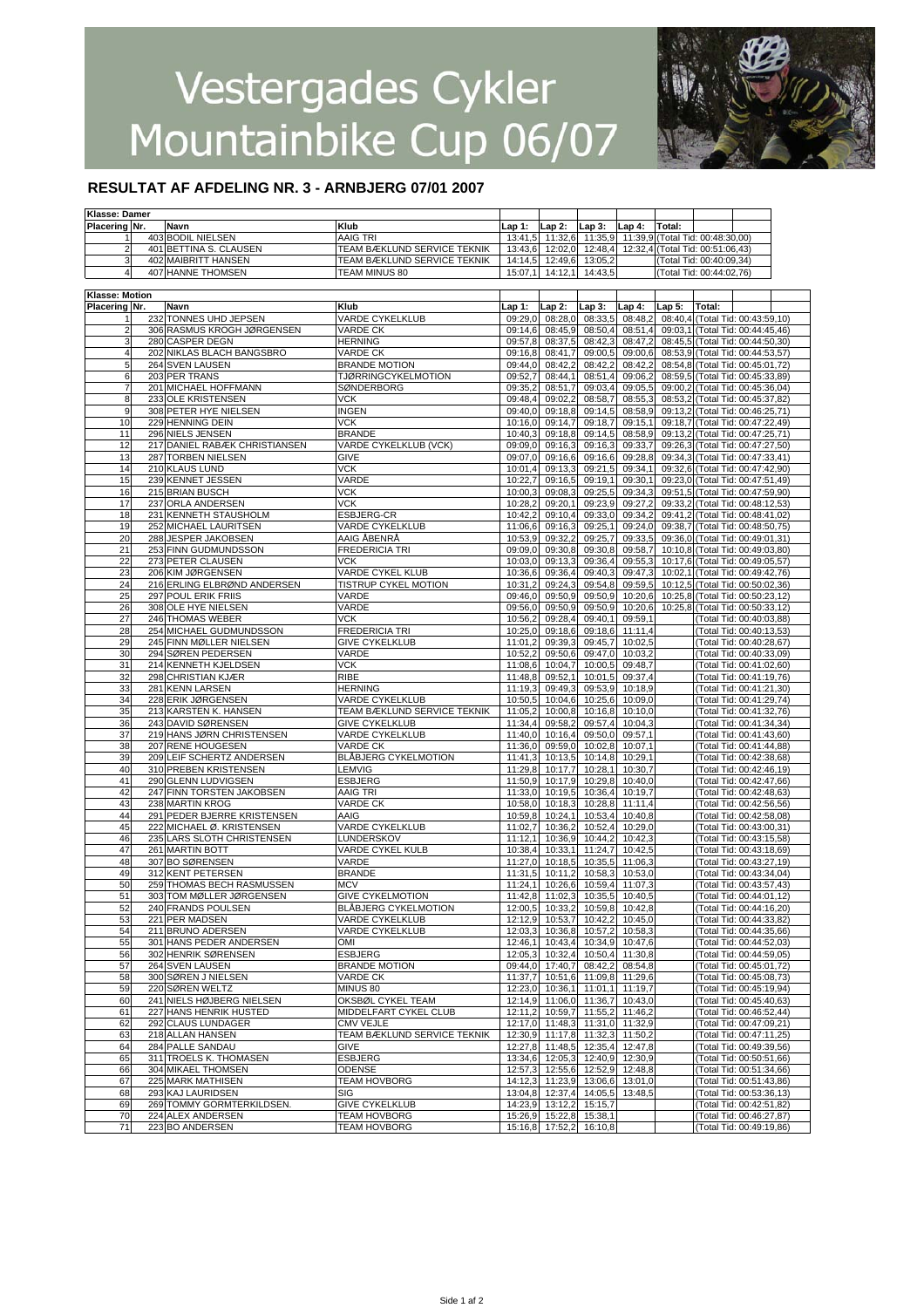

#### **RESULTAT AF AFDELING NR. 3 - ARNBJERG 07/01 2007**

| Klasse: Damer           |                               |                             |         |                         |                                 |          |                                  |                          |                                  |  |
|-------------------------|-------------------------------|-----------------------------|---------|-------------------------|---------------------------------|----------|----------------------------------|--------------------------|----------------------------------|--|
| Placering Nr.           | Navn                          | Klub                        | Lap 1:  | $Lap2$ :                | $Lap3$ :                        | $Lap4$ : | Total:                           |                          |                                  |  |
| 1                       | 403 BODIL NIELSEN             | AAIG TRI                    | 13:41,5 | 11:32,6                 | 11:35.9                         |          | 11:39,9 (Total Tid: 00:48:30,00) |                          |                                  |  |
| $\overline{2}$          | 401 BETTINA S. CLAUSEN        | TEAM BÆKLUND SERVICE TEKNIK | 13:43,6 | 12:02,0                 | 12:48,4                         |          | 12:32,4 (Total Tid: 00:51:06,43) |                          |                                  |  |
| 3                       | <b>402 MAIBRITT HANSEN</b>    | TEAM BÆKLUND SERVICE TEKNIK | 14:14,5 | 12:49,6                 | 13:05.2                         |          |                                  | (Total Tid: 00:40:09.34) |                                  |  |
|                         |                               |                             |         |                         |                                 |          |                                  |                          |                                  |  |
| 4                       | 407 HANNE THOMSEN             | TEAM MINUS 80               | 15:07,1 | 14:12,1                 | 14:43,5                         |          |                                  | (Total Tid: 00:44:02,76) |                                  |  |
|                         |                               |                             |         |                         |                                 |          |                                  |                          |                                  |  |
| Klasse: Motion          |                               |                             |         |                         |                                 |          |                                  |                          |                                  |  |
| <b>Placering Nr.</b>    | Navn                          | Klub                        | Lap 1:  | $Lap2$ :                | Lap 3:                          | Lap 4:   | Lap 5:                           | Total:                   |                                  |  |
| 1                       | 232 TONNES UHD JEPSEN         | VARDE CYKELKLUB             | 09:29,0 | 08:28,0                 | 08:33,5                         | 08:48,2  |                                  |                          | 08:40,4 (Total Tid: 00:43:59,10) |  |
| $\overline{\mathbf{c}}$ | 306 RASMUS KROGH JØRGENSEN    | <b>VARDE CK</b>             | 09:14,6 | 08:45,9                 | 08:50,4                         | 08:51,4  |                                  |                          | 09:03,1 (Total Tid: 00:44:45,46) |  |
| 3                       | 280 CASPER DEGN               | <b>HERNING</b>              | 09:57,8 | 08:37,5                 | 08:42,3                         | 08:47,2  |                                  |                          | 08:45,5 (Total Tid: 00:44:50,30) |  |
|                         |                               |                             |         |                         |                                 |          |                                  |                          |                                  |  |
| 4                       | 202 NIKLAS BLACH BANGSBRO     | <b>VARDE CK</b>             | 09:16,8 | 08:41,7                 | 09:00,5                         | 09:00,6  |                                  |                          | 08:53,9 (Total Tid: 00:44:53,57) |  |
| 5                       | 264 SVEN LAUSEN               | <b>BRANDE MOTION</b>        | 09:44,0 | 08:42,2                 | 08:42,2                         | 08:42,2  |                                  |                          | 08:54,8 (Total Tid: 00:45:01,72) |  |
| 6                       | 203 PER TRANS                 | <b>TJØRRINGCYKELMOTION</b>  | 09:52,7 | 08:44,1                 | 08:51,4                         | 09:06,2  |                                  |                          | 08:59,5 (Total Tid: 00:45:33,89) |  |
| 7                       | 201 MICHAEL HOFFMANN          | SØNDERBORG                  | 09:35,2 | 08:51,7                 | 09:03,4                         | 09:05,5  |                                  |                          | 09:00,2 (Total Tid: 00:45:36,04) |  |
| 8                       | 233 OLE KRISTENSEN            | <b>VCK</b>                  | 09:48,4 | 09:02,2                 | 08:58,7                         | 08:55,3  |                                  |                          | 08:53,2 (Total Tid: 00:45:37,82) |  |
| 9                       | 308 PETER HYE NIELSEN         | <b>INGEN</b>                | 09:40,0 | 09:18,8                 | 09:14,5                         | 08:58,9  |                                  |                          | 09:13,2 (Total Tid: 00:46:25,71) |  |
| 10                      | 229 HENNING DEIN              | <b>VCK</b>                  | 10:16,0 | 09:14,7                 | 09:18,7                         | 09:15,1  |                                  |                          | 09:18,7 (Total Tid: 00:47:22,49) |  |
| 11                      | 296 NIELS JENSEN              | <b>BRANDE</b>               |         | 09:18,8                 | 09:14,5                         | 08:58,9  |                                  |                          | 09:13,2 (Total Tid: 00:47:25,71) |  |
|                         |                               |                             | 10:40,3 |                         |                                 |          |                                  |                          |                                  |  |
| 12                      | 217 DANIEL RABÆK CHRISTIANSEN | VARDE CYKELKLUB (VCK)       | 09:09,0 | 09:16,3                 | 09:16,3                         | 09:33,7  |                                  |                          | 09:26,3 (Total Tid: 00:47:27,50) |  |
| 13                      | 287 TORBEN NIELSEN            | GIVE                        | 09:07.0 | 09:16,6                 | 09:16,6                         | 09:28,8  |                                  |                          | 09:34,3 (Total Tid: 00:47:33,41) |  |
| 14                      | 210 KLAUS LUND                | <b>VCK</b>                  | 10:01,4 | 09:13,3                 | 09:21,5                         | 09:34,1  |                                  |                          | 09:32,6 (Total Tid: 00:47:42,90) |  |
| 15                      | 239 KENNET JESSEN             | VARDE                       | 10:22,7 | 09:16,5                 | 09:19,1                         | 09:30,1  |                                  |                          | 09:23,0 (Total Tid: 00:47:51,49) |  |
| 16                      | 215 BRIAN BUSCH               | VCK                         | 10:00,3 | 09:08,3                 | 09:25,5                         | 09:34,3  |                                  |                          | 09:51,5 (Total Tid: 00:47:59,90) |  |
| 17                      | 237 ORLA ANDERSEN             | <b>VCK</b>                  | 10:28,2 | 09:20,1                 | 09:23,9                         | 09:27,2  |                                  |                          | 09:33,2 (Total Tid: 00:48:12,53) |  |
| 18                      |                               | ESBJERG-CR                  |         | 09:10,4                 | 09:33,0                         | 09:34,2  |                                  |                          | 09:41,2 (Total Tid: 00:48:41,02) |  |
|                         | 231 KENNETH STAUSHOLM         |                             | 10:42,2 |                         |                                 |          |                                  |                          |                                  |  |
| 19                      | 252 MICHAEL LAURITSEN         | <b>VARDE CYKELKLUB</b>      | 11:06.6 | 09:16,3                 | 09:25,1                         | 09:24,0  |                                  |                          | 09:38,7 (Total Tid: 00:48:50,75) |  |
| 20                      | 288 JESPER JAKOBSEN           | AAIG ÅBENRÅ                 | 10:53,9 | 09:32,2                 | 09:25,7                         | 09:33,5  |                                  |                          | 09:36.0 (Total Tid: 00:49:01,31) |  |
| 21                      | 253 FINN GUDMUNDSSON          | <b>FREDERICIA TRI</b>       | 09:09,0 | 09:30,8                 | 09:30,8                         | 09:58.7  |                                  |                          | 10:10,8 (Total Tid: 00:49:03,80) |  |
| 22                      | 273 PETER CLAUSEN             | <b>VCK</b>                  | 10:03,0 | 09:13,3                 | 09:36.4                         | 09:55,3  |                                  |                          | 10:17.6 (Total Tid: 00:49:05,57) |  |
| 23                      | 206 KIM JØRGENSEN             | VARDE CYKEL KLUB            | 10:36,6 | 09:36,4                 | 09:40,3                         | 09:47.3  |                                  |                          | 10:02,1 (Total Tid: 00:49:42,76) |  |
| 24                      | 216 ERLING ELBRØND ANDERSEN   | TISTRUP CYKEL MOTION        | 10:31.2 | 09:24,3                 | 09:54,8                         | 09:59,5  |                                  |                          | 10:12,5 (Total Tid: 00:50:02,36) |  |
|                         | 297 POUL ERIK FRIIS           | VARDE                       | 09:46,0 | 09:50,9                 | 09:50,9                         | 10:20,6  |                                  |                          | 10:25,8 (Total Tid: 00:50:23,12) |  |
| 25                      |                               |                             |         |                         |                                 |          |                                  |                          |                                  |  |
| 26                      | 308 OLE HYE NIELSEN           | VARDE                       | 09:56,0 | 09:50,9                 | 09:50,9                         | 10:20,6  |                                  |                          | 10:25,8 (Total Tid: 00:50:33,12) |  |
| 27                      | 246 THOMAS WEBER              | <b>VCK</b>                  | 10:56,2 | 09:28,4                 | 09:40,1                         | 09:59,1  |                                  |                          | (Total Tid: 00:40:03,88)         |  |
| 28                      | 254 MICHAEL GUDMUNDSSON       | <b>FREDERICIA TRI</b>       | 10:25,0 | 09:18,6                 | 09:18.6                         | 11:11,4  |                                  |                          | (Total Tid: 00:40:13,53)         |  |
| 29                      | 245 FINN MØLLER NIELSEN       | <b>GIVE CYKELKLUB</b>       | 11:01,2 | 09:39,3                 | 09:45,7                         | 10:02,5  |                                  |                          | (Total Tid: 00:40:28,67)         |  |
| 30                      | 294 SØREN PEDERSEN            | VARDE                       | 10:52,2 | 09:50,6                 | 09:47,0                         | 10:03,2  |                                  |                          | (Total Tid: 00:40:33,09)         |  |
| 31                      | 214 KENNETH KJELDSEN          | <b>VCK</b>                  | 11:08,6 | 10:04,7                 | 10:00,5                         | 09:48,7  |                                  |                          | (Total Tid: 00:41:02,60)         |  |
|                         |                               |                             |         |                         |                                 |          |                                  |                          |                                  |  |
| 32                      | 298 CHRISTIAN KJÆR            | <b>RIBE</b>                 | 11:48,8 | 09:52,1                 | 10:01,5                         | 09:37,4  |                                  |                          | (Total Tid: 00:41:19,76)         |  |
| 33                      | 281 KENN LARSEN               | <b>HERNING</b>              | 11:19,3 | 09:49,3                 | 09:53,9                         | 10:18,9  |                                  |                          | (Total Tid: 00:41:21,30)         |  |
| 34                      | 228 ERIK JØRGENSEN            | VARDE CYKELKLUB             | 10:50,5 | 10:04,6                 | 10:25,6                         | 10:09,0  |                                  |                          | (Total Tid: 00:41:29,74)         |  |
| 35                      | 213 KARSTEN K. HANSEN         | TEAM BÆKLUND SERVICE TEKNIK | 11:05,2 | 10:00,8                 | 10:16,8                         | 10:10,0  |                                  |                          | (Total Tid: 00:41:32,76)         |  |
| 36                      | 243 DAVID SØRENSEN            | <b>GIVE CYKELKLUB</b>       | 11:34,4 | 09:58,2                 | 09:57,4                         | 10:04,3  |                                  |                          | (Total Tid: 00:41:34,34)         |  |
| 37                      | 219 HANS JØRN CHRISTENSEN     | <b>VARDE CYKELKLUB</b>      | 11:40,0 | 10:16,4                 | 09:50,0                         | 09:57,1  |                                  |                          | (Total Tid: 00:41:43,60)         |  |
|                         |                               |                             |         |                         |                                 |          |                                  |                          |                                  |  |
| 38                      | 207 RENE HOUGESEN             | VARDE CK                    | 11:36,0 | 09:59,0                 | 10:02,8                         | 10:07,1  |                                  |                          | (Total Tid: 00:41:44,88)         |  |
| 39                      | 209 LEIF SCHERTZ ANDERSEN     | <b>BLÅBJERG CYKELMOTION</b> | 11:41,3 | 10:13,5                 | 10:14,8                         | 10:29,1  |                                  |                          | (Total Tid: 00:42:38,68)         |  |
| 40                      | 310 PREBEN KRISTENSEN         | <b>LEMVIG</b>               | 11:29,8 | 10:17,7                 | 10:28,1                         | 10:30,7  |                                  |                          | (Total Tid: 00:42:46,19)         |  |
| 41                      | 290 GLENN LUDVIGSEN           | <b>ESBJERG</b>              | 11:50,9 | 10:17,9                 | 10:29,8                         | 10:40,0  |                                  |                          | (Total Tid: 00:42:47,66)         |  |
| 42                      | 247 FINN TORSTEN JAKOBSEN     | AAIG TRI                    | 11:33,0 | 10:19,5                 | 10:36,4                         | 10:19,7  |                                  |                          | (Total Tid: 00:42:48,63)         |  |
| 43                      | 238 MARTIN KROG               | <b>VARDE CK</b>             | 10:58,0 | 10:18,3                 | 10:28,8                         | 11:11,4  |                                  |                          | (Total Tid: 00:42:56,56)         |  |
| 44                      | 291 PEDER BJERRE KRISTENSEN   | AAIG                        | 10:59.8 | 10:24.1                 | 10:53,4                         | 10:40,8  |                                  |                          | (Total Tid: 00:42:58,08)         |  |
|                         |                               |                             |         |                         |                                 |          |                                  |                          |                                  |  |
| 45                      | 222 MICHAEL Ø. KRISTENSEN     | VARDE CYKELKLUB             | 11:02,7 | 10:36,2                 | 10:52.4                         | 10:29,0  |                                  |                          | (Total Tid: 00:43:00,31)         |  |
| 46                      | 235 LARS SLOTH CHRISTENSEN    | LUNDERSKOV                  | 11:12,1 | 10:36,9                 | 10:44,2                         | 10:42,3  |                                  |                          | (Total Tid: 00:43:15,58)         |  |
| 47                      | 261 MARTIN BOTT               | VARDE CYKEL KULB            | 10:38.4 | 10:33.1                 | 11:24,7                         | 10:42,5  |                                  |                          | (Total Tid: 00:43:18,69)         |  |
| 48                      | 307 BO SØRENSEN               | VARDE                       | 11:27,0 | 10:18,5                 | 10:35,5                         | 11:06,3  |                                  |                          | (Total Tid: 00:43:27,19)         |  |
| 49                      | 312 KENT PETERSEN             | <b>BRANDE</b>               | 11:31,5 | 10:11,2                 | 10:58,3                         | 10:53,0  |                                  |                          | (Total Tid: 00:43:34,04)         |  |
| 50                      | 259 THOMAS BECH RASMUSSEN     | <b>MCV</b>                  | 11:24,1 | 10:26,6                 | 10:59,4                         | 11:07,3  |                                  |                          | (Total Tid: 00:43:57,43)         |  |
| 51                      | 303 TOM MØLLER JØRGENSEN      | <b>GIVE CYKELMOTION</b>     |         | 11:42,8 11:02,3         | 10:35,5                         | 10:40,5  |                                  |                          | (Total Tid: 00:44:01,12)         |  |
| 52                      | 240 FRANDS POULSEN            | BLÅBJERG CYKELMOTION        |         |                         | 12:00,5 10:33,2 10:59,8         | 10:42,8  |                                  |                          | (Total Tid: 00:44:16,20)         |  |
|                         |                               |                             |         |                         |                                 |          |                                  |                          |                                  |  |
| 53                      | 221 PER MADSEN                | VARDE CYKELKLUB             |         |                         | 12:12,9 10:53,7 10:42,2         | 10:45,0  |                                  |                          | (Total Tid: 00:44:33,82)         |  |
| 54                      | 211 BRUNO ADERSEN             | <b>VARDE CYKELKLUB</b>      | 12:03,3 | 10:36,8                 | 10:57,2                         | 10:58,3  |                                  |                          | (Total Tid: 00:44:35,66)         |  |
| 55                      | 301 HANS PEDER ANDERSEN       | OMI                         | 12:46,1 | 10:43,4                 | 10:34,9                         | 10:47,6  |                                  |                          | (Total Tid: 00:44:52,03)         |  |
| 56                      | 302 HENRIK SØRENSEN           | <b>ESBJERG</b>              | 12:05,3 | 10:32,4                 | 10:50,4                         | 11:30,8  |                                  |                          | (Total Tid: 00:44:59,05)         |  |
| 57                      | 264 SVEN LAUSEN               | <b>BRANDE MOTION</b>        |         | 09:44,0 17:40,7         | 08:42,2                         | 08:54,8  |                                  |                          | (Total Tid: 00:45:01,72)         |  |
| 58                      | 300 SØREN J NIELSEN           | VARDE CK                    |         | 11:37,7 10:51,6         | 11:09,8                         | 11:29,6  |                                  |                          | (Total Tid: 00:45:08,73)         |  |
| 59                      | 220 SØREN WELTZ               | MINUS 80                    |         | 12:23,0 10:36,1         | 11:01.1                         | 11:19,7  |                                  |                          | (Total Tid: 00:45:19,94)         |  |
|                         |                               |                             |         |                         |                                 |          |                                  |                          |                                  |  |
| 60                      | 241 NIELS HØJBERG NIELSEN     | OKSBØL CYKEL TEAM           |         | 12:14,9 11:06,0         | 11:36,7                         | 10:43,0  |                                  |                          | (Total Tid: 00:45:40,63)         |  |
| 61                      | 227 HANS HENRIK HUSTED        | MIDDELFART CYKEL CLUB       |         | 12:11,2 10:59,7         | 11:55,2                         | 11:46,2  |                                  |                          | (Total Tid: 00:46:52,44)         |  |
| 62                      | 292 CLAUS LUNDAGER            | <b>CMV VEJLE</b>            |         | 12:17,0 11:48,3         | 11:31,0                         | 11:32,9  |                                  |                          | (Total Tid: 00:47:09,21)         |  |
| 63                      | 218 ALLAN HANSEN              | TEAM BÆKLUND SERVICE TEKNIK |         |                         | 12:30,9 11:17,8 11:32,3         | 11:50,2  |                                  |                          | (Total Tid: 00:47:11,25)         |  |
| 64                      | 284 PALLE SANDAU              | GIVE                        |         |                         | 12:27,8 11:48,5 12:35,4         | 12:47,8  |                                  |                          | (Total Tid: 00:49:39,56)         |  |
| 65                      | 311 TROELS K. THOMASEN        | <b>ESBJERG</b>              |         |                         | 13:34,6 12:05,3 12:40,9         | 12:30,9  |                                  |                          | (Total Tid: 00:50:51,66)         |  |
|                         |                               |                             |         |                         |                                 |          |                                  |                          |                                  |  |
| 66                      | 304 MIKAEL THOMSEN            | ODENSE                      |         |                         | 12:57,3 12:55,6 12:52,9 12:48,8 |          |                                  |                          | (Total Tid: 00:51:34,66)         |  |
| 67                      | 225 MARK MATHISEN             | <b>TEAM HOVBORG</b>         |         |                         | 14:12,3 11:23,9 13:06,6         | 13:01,0  |                                  |                          | (Total Tid: 00:51:43,86)         |  |
| 68                      | 293 KAJ LAURIDSEN             | SIG                         |         |                         | 13:04,8 12:37,4 14:05,5         | 13:48,5  |                                  |                          | (Total Tid: 00:53:36,13)         |  |
| 69                      | 269 TOMMY GORMTERKILDSEN.     | <b>GIVE CYKELKLUB</b>       |         | 14:23,9 13:12,2 15:15,7 |                                 |          |                                  |                          | (Total Tid: 00:42:51,82)         |  |
| 70                      | 224 ALEX ANDERSEN             | <b>TEAM HOVBORG</b>         |         | 15:26,9 15:22,8 15:38,1 |                                 |          |                                  |                          | (Total Tid: 00:46:27,87)         |  |
| 71                      | 223 BO ANDERSEN               | <b>TEAM HOVBORG</b>         |         | 15:16,8 17:52,2 16:10,8 |                                 |          |                                  |                          | (Total Tid: 00:49:19,86)         |  |
|                         |                               |                             |         |                         |                                 |          |                                  |                          |                                  |  |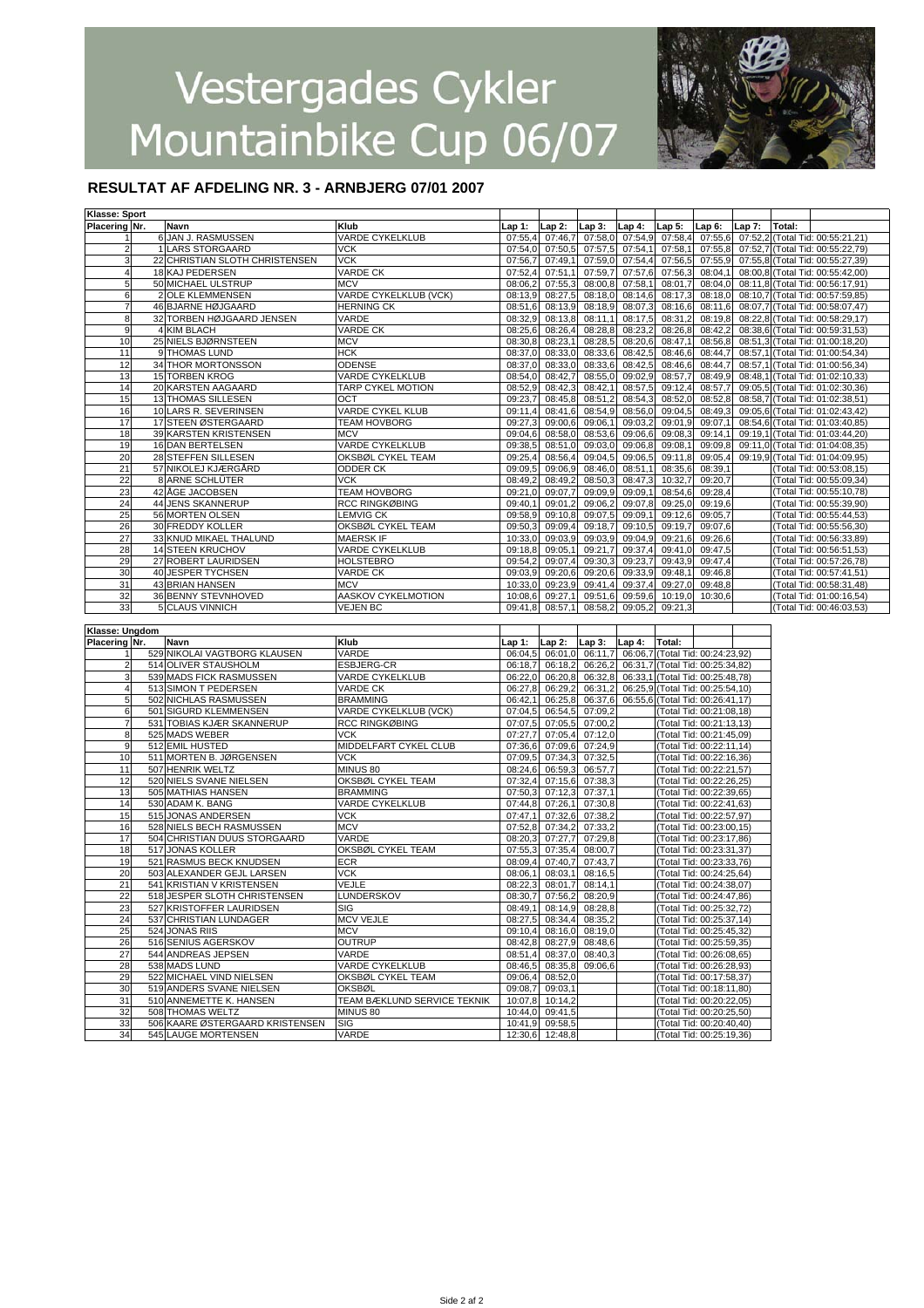

#### **RESULTAT AF AFDELING NR. 3 - ARNBJERG 07/01 2007**

| Klasse: Sport      |     |                                                        |                             |         |                            |                 |         |                                                      |                          |          |        |                                  |  |
|--------------------|-----|--------------------------------------------------------|-----------------------------|---------|----------------------------|-----------------|---------|------------------------------------------------------|--------------------------|----------|--------|----------------------------------|--|
| Placering Nr.      |     | Navn                                                   | Klub                        | Lap 1:  | $Lap2$ :                   | $Lap3$ :        | Lap 4:  | Lap 5:                                               | Lap 6:                   | $Lap7$ : | Total: |                                  |  |
|                    |     | 6 JAN J. RASMUSSEN                                     | <b>VARDE CYKELKLUB</b>      | 07:55,4 | 07:46,7                    | 07:58,0         | 07:54,9 | 07:58,4                                              | 07:55,6                  | 07:52.2  |        | (Total Tid: 00:55:21,21)         |  |
| 2                  |     | 1 LARS STORGAARD                                       | <b>VCK</b>                  | 07:54,0 | 07:50,5                    | 07:57,5         | 07:54,1 | 07:58,1                                              | 07:55,8                  |          |        | 07:52,7 (Total Tid: 00:55:22,79) |  |
| 3                  |     | 22 CHRISTIAN SLOTH CHRISTENSEN                         | VCK                         | 07:56,7 | 07:49,1                    | 07:59,0         | 07:54,4 | 07:56.5                                              | 07:55,9                  |          |        | 07:55,8 (Total Tid: 00:55:27,39) |  |
| 4                  |     | 18 KAJ PEDERSEN                                        | VARDE CK                    | 07:52,4 | 07:51,1                    | 07:59,7         | 07:57,6 | 07:56,3                                              | 08:04,1                  |          |        | 08:00,8 (Total Tid: 00:55:42,00) |  |
| 5                  |     | 50 MICHAEL ULSTRUP                                     | <b>MCV</b>                  | 08:06,2 | 07:55,3                    | 08:00,8         | 07:58,1 | 08:01,7                                              | 08:04,0                  |          |        | 08:11,8 (Total Tid: 00:56:17,91) |  |
| 6                  |     | 2 OLE KLEMMENSEN                                       | VARDE CYKELKLUB (VCK)       | 08:13,9 | 08:27,5                    | 08:18,0         | 08:14,6 | 08:17,3                                              | 08:18,0                  |          |        | 08:10,7 (Total Tid: 00:57:59,85) |  |
| $\overline{7}$     |     | 46 BJARNE HØJGAARD                                     | <b>HERNING CK</b>           |         | 08:13,9                    | 08:18,9         | 08:07,3 | 08:16,6                                              | 08:11,6                  |          |        | 08:07,7 (Total Tid: 00:58:07,47) |  |
|                    |     |                                                        |                             | 08:51,6 |                            |                 |         |                                                      |                          |          |        |                                  |  |
| 8                  |     | 32 TORBEN HØJGAARD JENSEN                              | VARDE                       | 08:32,9 | 08:13,8                    | 08:11,1         | 08:17,5 | 08:31,2                                              | 08:19,8                  |          |        | 08:22,8 (Total Tid: 00:58:29,17) |  |
| 9                  |     | 4 KIM BLACH                                            | <b>VARDE CK</b>             | 08:25,6 | 08:26,4                    | 08:28,8         | 08:23,2 | 08:26,8                                              | 08:42,2                  |          |        | 08:38,6 (Total Tid: 00:59:31,53) |  |
| 10                 |     | 25 NIELS BJØRNSTEEN                                    | <b>MCV</b>                  | 08:30,8 | 08:23,1                    | 08:28,5         | 08:20,6 | 08:47,1                                              | 08:56,8                  |          |        | 08:51,3 (Total Tid: 01:00:18,20) |  |
| 11                 |     | 9 THOMAS LUND                                          | <b>HCK</b>                  | 08:37,0 | 08:33,0                    | 08:33,6         | 08:42,5 | 08:46,6                                              | 08:44,7                  |          |        | 08:57,1 (Total Tid: 01:00:54,34) |  |
| 12                 |     | 34 THOR MORTONSSON                                     | ODENSE                      | 08:37,0 | 08:33,0                    | 08:33,6         | 08:42,5 | 08:46,6                                              | 08:44,7                  |          |        | 08:57,1 (Total Tid: 01:00:56,34) |  |
| 13                 |     | 15 TORBEN KROG                                         | VARDE CYKELKLUB             | 08:54,0 | 08:42,7                    | 08:55,0         | 09:02,9 | 08:57,7                                              | 08:49,9                  |          |        | 08:48,1 (Total Tid: 01:02:10,33) |  |
| 14                 |     | 20 KARSTEN AAGAARD                                     | <b>TARP CYKEL MOTION</b>    | 08:52,9 | 08:42,3                    | 08:42,1         | 08:57,5 | 09:12,4                                              | 08:57,7                  |          |        | 09:05,5 (Total Tid: 01:02:30,36) |  |
| 15                 |     | 13 THOMAS SILLESEN                                     | OCT                         | 09:23,7 | 08:45,8                    | 08:51,2         | 08:54,3 | 08:52,0                                              | 08:52,8                  |          |        | 08:58,7 (Total Tid: 01:02:38,51) |  |
| 16                 |     | 10 LARS R. SEVERINSEN                                  | VARDE CYKEL KLUB            | 09:11.4 | 08:41,6                    | 08:54,9         | 08:56,0 | 09:04,5                                              | 08:49,3                  |          |        | 09:05,6 (Total Tid: 01:02:43,42) |  |
| 17                 |     | 17 STEEN ØSTERGAARD                                    | TEAM HOVBORG                | 09:27,3 | 09:00,6                    | 09:06,1         | 09:03,2 | 09:01,9                                              | 09:07,1                  |          |        | 08:54,6 (Total Tid: 01:03:40,85) |  |
| 18                 |     | 39 KARSTEN KRISTENSEN                                  | <b>MCV</b>                  | 09:04.6 | 08:58,0                    | 08:53,6         | 09:06,6 | 09:08,                                               |                          |          |        |                                  |  |
|                    |     |                                                        |                             |         |                            |                 |         |                                                      | 09:14,1                  |          |        | 09:19,1 (Total Tid: 01:03:44,20) |  |
| 19                 |     | 16 DAN BERTELSEN                                       | VARDE CYKELKLUB             | 09:38,5 | 08:51,0                    | 09:03,0         | 09:06,8 | 09:08,                                               | 09:09,8                  |          |        | 09:11,0 (Total Tid: 01:04:08,35) |  |
| 20                 |     | 28 STEFFEN SILLESEN                                    | OKSBØL CYKEL TEAM           | 09:25,4 | 08:56,4                    | 09:04,5         | 09:06,5 | 09:11,8                                              | 09:05,4                  |          |        | 09:19,9 (Total Tid: 01:04:09,95) |  |
| 21                 |     | 57 NIKOLEJ KJÆRGÅRD                                    | ODDER CK                    | 09:09.5 | 09:06,9                    | 08:46,0         | 08:51,1 | 08:35,6                                              | 08:39,1                  |          |        | (Total Tid: 00:53:08,15)         |  |
| 22                 |     | 8 ARNE SCHLÜTER                                        | VCK                         | 08:49.2 | 08:49,2                    | 08:50,3         | 08:47,3 | 10:32,7                                              | 09:20,7                  |          |        | (Total Tid: 00:55:09,34)         |  |
| 23                 |     | 42 AGE JACOBSEN                                        | TEAM HOVBORG                | 09:21,0 | 09:07,7                    | 09:09,9         | 09:09,1 | 08:54,6                                              | 09:28,4                  |          |        | (Total Tid: 00:55:10,78)         |  |
| 24                 |     | 44 JENS SKANNERUP                                      | RCC RINGKØBING              | 09:40,1 | 09:01.2                    | 09:06.2         | 09:07,8 | 09:25,0                                              | 09:19,6                  |          |        | (Total Tid: 00:55:39,90)         |  |
| 25                 |     | 56 MORTEN OLSEN                                        | LEMVIG CK                   | 09:58,9 | 09:10,8                    | 09:07,5         | 09:09,1 | 09:12,6                                              | 09:05,7                  |          |        | (Total Tid: 00:55:44,53)         |  |
| 26                 |     | 30 FREDDY KOLLER                                       | OKSBØL CYKEL TEAM           | 09:50,3 | 09:09,4                    | 09:18,7         | 09:10,5 | 09:19,7                                              | 09:07.6                  |          |        | (Total Tid: 00:55:56,30)         |  |
| 27                 |     | 33 KNUD MIKAEL THALUND                                 | <b>MAERSK IF</b>            | 10:33,0 | 09:03,9                    | 09:03,9         | 09:04,9 | 09:21,6                                              | 09:26,6                  |          |        | (Total Tid: 00:56:33,89)         |  |
| 28                 |     | <b>14 STEEN KRUCHOV</b>                                | VARDE CYKELKLUB             | 09:18,8 | 09:05,1                    | 09:21,7         | 09:37,4 | 09:41,0                                              | 09:47,5                  |          |        | (Total Tid: 00:56:51,53)         |  |
|                    |     |                                                        |                             |         |                            |                 |         |                                                      |                          |          |        |                                  |  |
| 29                 |     | 27 ROBERT LAURIDSEN                                    | <b>HOLSTEBRO</b>            | 09:54,2 | 09:07,4                    | 09:30,3         | 09:23,7 | 09:43,9                                              | 09:47,4                  |          |        | (Total Tid: 00:57:26,78)         |  |
| 30                 |     | 40 JESPER TYCHSEN                                      | <b>VARDE CK</b>             | 09:03,9 | 09:20,6                    | 09:20,6         | 09:33,9 | 09:48,1                                              | 09:46,8                  |          |        | (Total Tid: 00:57:41,51)         |  |
| 31                 |     | 43 BRIAN HANSEN                                        | <b>MCV</b>                  | 10:33,0 | 09:23,9                    | 09:41,4         | 09:37,4 | 09:27,0                                              | 09:48,8                  |          |        | (Total Tid: 00:58:31,48)         |  |
| 32                 |     | 36 BENNY STEVNHOVED                                    | AASKOV CYKELMOTION          | 10:08,6 | 09:27,1                    | 09:51,6         | 09:59,6 | 10:19,0                                              | 10:30,6                  |          |        | (Total Tid: 01:00:16,54)         |  |
| 33                 |     | 5 CLAUS VINNICH                                        | <b>VEJEN BC</b>             | 09:41,8 | 08:57,1                    | 08:58,2         | 09:05,2 | 09:21,3                                              |                          |          |        | (Total Tid: 00:46:03,53)         |  |
|                    |     |                                                        |                             |         |                            |                 |         |                                                      |                          |          |        |                                  |  |
|                    |     |                                                        |                             |         |                            |                 |         |                                                      |                          |          |        |                                  |  |
|                    |     |                                                        |                             |         |                            |                 |         |                                                      |                          |          |        |                                  |  |
| Klasse: Ungdom     |     |                                                        |                             |         |                            |                 |         |                                                      |                          |          |        |                                  |  |
| Placering Nr.<br>1 |     | Navn                                                   | Klub                        | Lap 1:  | Lap 2:                     | Lap 3:          | Lap 4:  | Total:                                               |                          |          |        |                                  |  |
|                    |     | 529 NIKOLAI VAGTBORG KLAUSEN                           | VARDE                       | 06:04.5 | 06:01,0                    | 06:11,7         |         | 06:06,7 (Total Tid: 00:24:23,92)                     |                          |          |        |                                  |  |
| 2                  |     | 514 OLIVER STAUSHOLM                                   | ESBJERG-CR                  | 06:18,7 | 06:18,2                    | 06:26,2         |         | 06:31,7 (Total Tid: 00:25:34,82)                     |                          |          |        |                                  |  |
| 3                  |     | 539 MADS FICK RASMUSSEN                                | VARDE CYKELKLUB             | 06:22,0 | 06:20,8                    | 06:32,8         |         | 06:33,1 (Total Tid: 00:25:48,78)                     |                          |          |        |                                  |  |
| 4                  |     | 513 SIMON T PEDERSEN                                   | VARDE CK                    | 06:27,8 | 06:29,2                    | 06:31,2         |         | 06:25,9 (Total Tid: 00:25:54,10)                     |                          |          |        |                                  |  |
| 5                  |     | 502 NICHLAS RASMUSSEN                                  | <b>BRAMMING</b>             | 06:42,1 | 06:25,8                    | 06:37,6         |         | 06:55,6 (Total Tid: 00:26:41,17)                     |                          |          |        |                                  |  |
| 6                  |     | 501 SIGURD KLEMMENSEN                                  | VARDE CYKELKLUB (VCK)       | 07:04,5 | 06:54,5                    | 07:09,2         |         | (Total Tid: 00:21:08,18)                             |                          |          |        |                                  |  |
| 7                  |     | 531 TOBIAS KJÆR SKANNERUP                              | <b>RCC RINGKØBING</b>       | 07:07.5 | 07:05,5                    | 07:00,2         |         |                                                      | (Total Tid: 00:21:13,13) |          |        |                                  |  |
| 8                  |     | 525 MADS WEBER                                         | <b>VCK</b>                  | 07:27,7 | 07:05,4                    | 07:12,0         |         |                                                      | (Total Tid: 00:21:45,09) |          |        |                                  |  |
| 9                  |     | 512 EMIL HUSTED                                        | MIDDELFART CYKEL CLUB       | 07:36,6 | 07:09,6                    | 07:24,9         |         |                                                      | (Total Tid: 00:22:11,14) |          |        |                                  |  |
| 10                 |     |                                                        | VCK                         | 07:09,5 | 07:34,3                    | 07:32,5         |         |                                                      | (Total Tid: 00:22:16,36) |          |        |                                  |  |
|                    |     | 511 MORTEN B. JØRGENSEN                                |                             |         |                            |                 |         |                                                      |                          |          |        |                                  |  |
| 11                 |     | 507 HENRIK WELTZ                                       | MINUS 80                    | 08:24,6 | 06:59,3                    | 06:57,7         |         |                                                      | (Total Tid: 00:22:21,57) |          |        |                                  |  |
| 12                 |     | 520 NIELS SVANE NIELSEN                                | OKSBØL CYKEL TEAM           | 07:32,4 | 07:15,6                    | 07:38,3         |         |                                                      | (Total Tid: 00:22:26,25) |          |        |                                  |  |
| 13                 |     | 505 MATHIAS HANSEN                                     | <b>BRAMMING</b>             | 07:50,3 | 07:12,3                    | 07:37,1         |         |                                                      | (Total Tid: 00:22:39,65) |          |        |                                  |  |
| 14                 |     | 530 ADAM K. BANG                                       | VARDE CYKELKLUB             | 07:44,8 | 07:26,1                    | 07:30,8         |         |                                                      | (Total Tid: 00:22:41,63) |          |        |                                  |  |
| 15                 |     | 515 JONAS ANDERSEN                                     | <b>VCK</b>                  | 07:47,1 | 07:32.6                    | 07:38,2         |         |                                                      | (Total Tid: 00:22:57,97) |          |        |                                  |  |
| 16                 |     | 528 NIELS BECH RASMUSSEN                               | <b>MCV</b>                  | 07:52,8 | 07:34,2                    | 07:33,2         |         |                                                      | (Total Tid: 00:23:00,15) |          |        |                                  |  |
| 17                 |     | 504 CHRISTIAN DUUS STORGAARD                           | VARDE                       | 08:20,3 | 07:27,7                    | 07:29,8         |         |                                                      | (Total Tid: 00:23:17,86) |          |        |                                  |  |
| 18                 | 517 | <b>JONAS KOLLER</b>                                    | OKSBØL CYKEL TEAM           | 07:55,3 | 07:35,4                    | 08:00,7         |         |                                                      | (Total Tid: 00:23:31,37) |          |        |                                  |  |
| 19                 | 521 | RASMUS BECK KNUDSEN                                    | <b>ECR</b>                  | 08:09,4 | 07:40,7                    | 07:43.7         |         |                                                      | Total Tid: 00:23:33,76)  |          |        |                                  |  |
| 20                 |     | 503 ALEXANDER GEJL LARSEN                              | VCK                         | 08:06.1 | 08:03,1                    | 08:16,5         |         |                                                      | (Total Tid: 00:24:25,64) |          |        |                                  |  |
|                    |     |                                                        |                             |         |                            |                 |         |                                                      |                          |          |        |                                  |  |
| 21                 |     | 541 KRISTIAN V KRISTENSEN                              | VEJLE                       | 08:22,3 | 08:01,7                    | 08:14,1         |         |                                                      | (Total Tid: 00:24:38,07) |          |        |                                  |  |
| 22                 |     | 518 JESPER SLOTH CHRISTENSEN                           | <b>LUNDERSKOV</b>           | 08:30,7 | 07:56,2                    | 08:20,9         |         |                                                      | (Total Tid: 00:24:47,86) |          |        |                                  |  |
|                    |     | 527 KRISTOFFER LAURIDSEN                               | SIG                         | 08:49,1 |                            | 08:14,9 08:28,8 |         | (Total Tid: 00:25:32,72)                             |                          |          |        |                                  |  |
| 24                 |     | 537 CHRISTIAN LUNDAGER                                 | <b>MCV VEJLE</b>            |         | 08:27,5 08:34,4 08:35,2    |                 |         |                                                      | (Total Tid: 00:25:37,14) |          |        |                                  |  |
| 25                 |     | 524 JONAS RIIS                                         | <b>MCV</b>                  | 09:10,4 |                            | 08:16,0 08:19,0 |         |                                                      | (Total Tid: 00:25:45,32) |          |        |                                  |  |
| 26                 |     | 516 SENIUS AGERSKOV                                    | OUTRUP                      | 08:42,8 |                            | 08:27,9 08:48,6 |         |                                                      | (Total Tid: 00:25:59,35) |          |        |                                  |  |
| 27                 |     | 544 ANDREAS JEPSEN                                     | VARDE                       | 08:51,4 |                            | 08:37,0 08:40,3 |         |                                                      | (Total Tid: 00:26:08,65) |          |        |                                  |  |
| 28                 |     | 538 MADS LUND                                          | VARDE CYKELKLUB             | 08:46,5 |                            | 08:35,8 09:06,6 |         |                                                      | (Total Tid: 00:26:28,93) |          |        |                                  |  |
| 29                 |     | 522 MICHAEL VIND NIELSEN                               | OKSBØL CYKEL TEAM           | 09:06,4 | 08:52,0                    |                 |         | (Total Tid: 00:17:58,37)                             |                          |          |        |                                  |  |
| 30                 |     | 519 ANDERS SVANE NIELSEN                               | <b>OKSBØL</b>               | 09:08,7 | 09:03,1                    |                 |         |                                                      | (Total Tid: 00:18:11,80) |          |        |                                  |  |
|                    |     |                                                        |                             |         |                            |                 |         |                                                      |                          |          |        |                                  |  |
| 31                 |     | 510 ANNEMETTE K. HANSEN                                | TEAM BÆKLUND SERVICE TEKNIK | 10:07,8 | 10:14,2                    |                 |         | (Total Tid: 00:20:22,05)                             |                          |          |        |                                  |  |
| 32                 |     | 508 THOMAS WELTZ                                       | MINUS 80                    | 10:44,0 | 09:41,5                    |                 |         |                                                      | (Total Tid: 00:20:25,50) |          |        |                                  |  |
| 33<br>34           |     | 506 KAARE ØSTERGAARD KRISTENSEN<br>545 LAUGE MORTENSEN | <b>SIG</b><br>VARDE         | 10:41,9 | 09:58,5<br>12:30,6 12:48,8 |                 |         | (Total Tid: 00:20:40,40)<br>(Total Tid: 00:25:19,36) |                          |          |        |                                  |  |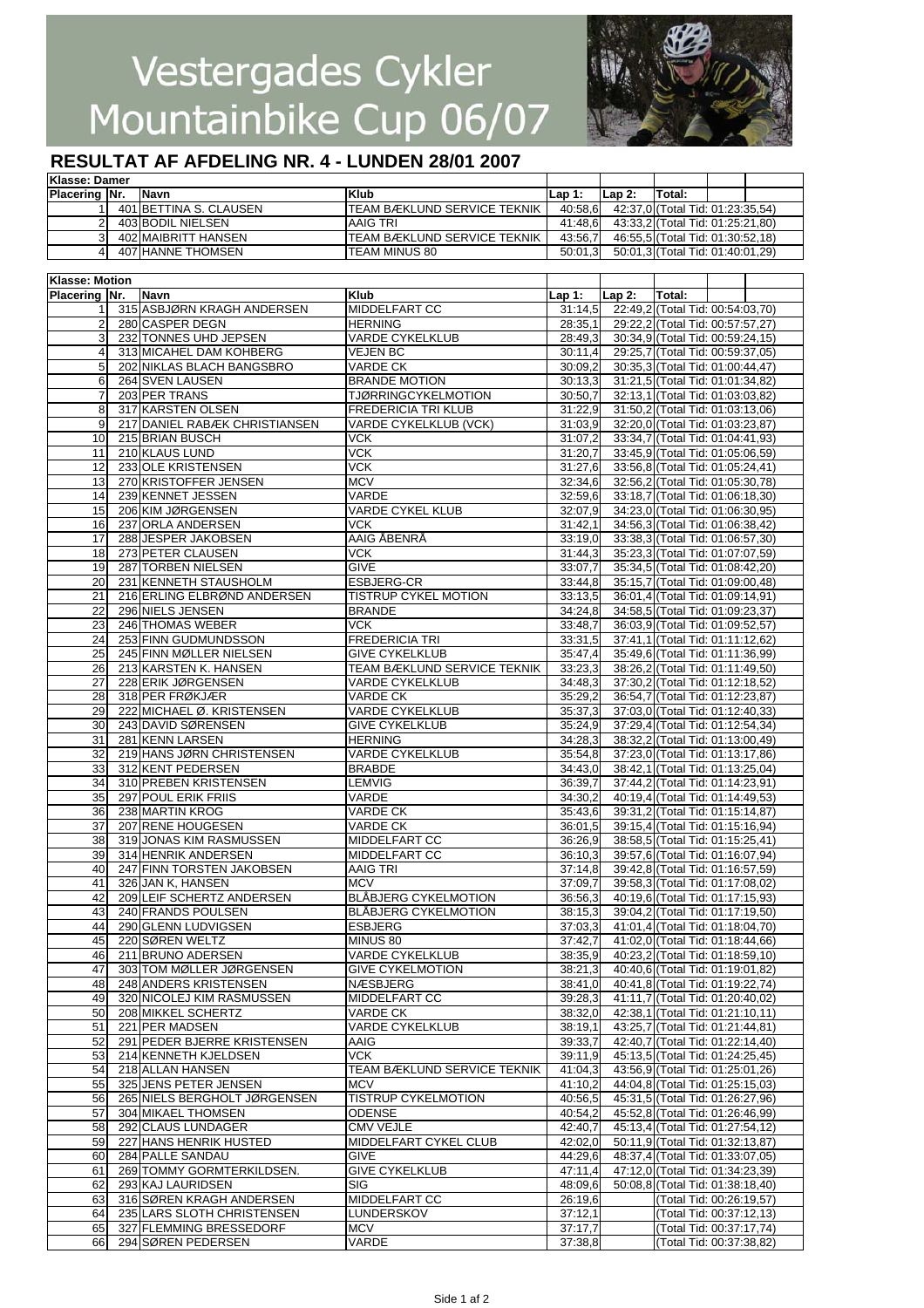

## **RESULTAT AF AFDELING NR. 4 - LUNDEN 28/01 2007**

| Klasse: Damer        |                        |                                     |         |        |                                  |  |
|----------------------|------------------------|-------------------------------------|---------|--------|----------------------------------|--|
| <b>Placering Nr.</b> | <b>Navn</b>            | Klub                                | lLap 1: | Lap 2: | Total:                           |  |
|                      | 401 BETTINA S. CLAUSEN | <b>ITEAM BÆKLUND SERVICE TEKNIK</b> | 40:58.6 |        | 42:37,0 (Total Tid: 01:23:35,54) |  |
|                      | 403 BODIL NIELSEN      | AAIG TRI                            | 41:48.6 |        | 43:33,2 (Total Tid: 01:25:21,80) |  |
|                      | 402 MAIBRITT HANSEN    | ITEAM BÆKLUND SERVICE TEKNIK        | 43:56.7 |        | 46:55,5 (Total Tid: 01:30:52,18) |  |
|                      | 407 HANNE THOMSEN      | ITEAM MINUS 80                      | 50:01.3 |        | 50:01,3 (Total Tid: 01:40:01,29) |  |

| <b>Klasse: Motion</b> |                               |                             |          |          |                                  |  |
|-----------------------|-------------------------------|-----------------------------|----------|----------|----------------------------------|--|
| Placering Nr.         | Navn                          | Klub                        | $Lap1$ : | $Lap2$ : | Total:                           |  |
| 1                     | 315 ASBJØRN KRAGH ANDERSEN    | MIDDELFART CC               | 31:14.5  |          | 22:49,2 (Total Tid: 00:54:03,70) |  |
| 2                     | 280 CASPER DEGN               | <b>HERNING</b>              | 28:35,1  |          | 29:22,2 (Total Tid: 00:57:57,27) |  |
|                       |                               |                             |          |          |                                  |  |
| 3                     | 232 TONNES UHD JEPSEN         | <b>VARDE CYKELKLUB</b>      | 28:49,3  |          | 30:34,9 (Total Tid: 00:59:24,15) |  |
| 4                     | 313 MICAHEL DAM KOHBERG       | VEJEN BC                    | 30:11,4  |          | 29:25,7 (Total Tid: 00:59:37,05) |  |
| 5                     | 202 NIKLAS BLACH BANGSBRO     | <b>VARDE CK</b>             | 30:09.2  |          | 30:35,3 (Total Tid: 01:00:44,47) |  |
| 6                     | 264 SVEN LAUSEN               | <b>BRANDE MOTION</b>        | 30:13,3  |          | 31:21,5 (Total Tid: 01:01:34,82) |  |
| 7                     | 203 PER TRANS                 | <b>TJØRRINGCYKELMOTION</b>  | 30:50,7  |          | 32:13,1 (Total Tid: 01:03:03,82) |  |
| 8                     | 317 KARSTEN OLSEN             | <b>FREDERICIA TRI KLUB</b>  |          |          | 31:50,2 (Total Tid: 01:03:13,06) |  |
|                       |                               |                             | 31:22,9  |          |                                  |  |
| 9                     | 217 DANIEL RABÆK CHRISTIANSEN | VARDE CYKELKLUB (VCK)       | 31:03,9  |          | 32:20,0 (Total Tid: 01:03:23,87) |  |
| 10                    | 215 BRIAN BUSCH               | <b>VCK</b>                  | 31:07.2  |          | 33:34,7 (Total Tid: 01:04:41,93) |  |
| 11                    | 210 KLAUS LUND                | <b>VCK</b>                  | 31:20,7  |          | 33:45,9 (Total Tid: 01:05:06,59) |  |
| 12                    | 233 OLE KRISTENSEN            | <b>VCK</b>                  | 31:27,6  |          | 33:56,8 (Total Tid: 01:05:24,41) |  |
| 13                    | 270 KRISTOFFER JENSEN         | <b>MCV</b>                  | 32:34,6  |          | 32:56,2 (Total Tid: 01:05:30,78) |  |
| 14                    | 239 KENNET JESSEN             | VARDE                       | 32:59,6  |          | 33:18,7 (Total Tid: 01:06:18,30) |  |
| 15                    | 206 KIM JØRGENSEN             | VARDE CYKEL KLUB            | 32:07,9  |          | 34:23,0 (Total Tid: 01:06:30,95) |  |
|                       |                               |                             |          |          |                                  |  |
| 16                    | 237 ORLA ANDERSEN             | <b>VCK</b>                  | 31:42,1  |          | 34:56,3 (Total Tid: 01:06:38,42) |  |
| 17                    | 288 JESPER JAKOBSEN           | AAIG ÅBENRÅ                 | 33:19,0  |          | 33:38,3 (Total Tid: 01:06:57,30) |  |
| 18                    | 273 PETER CLAUSEN             | VCK                         | 31:44,3  |          | 35:23,3 (Total Tid: 01:07:07,59) |  |
| 19                    | 287 TORBEN NIELSEN            | <b>GIVE</b>                 | 33:07,7  |          | 35:34,5 (Total Tid: 01:08:42,20) |  |
| 20                    | 231 KENNETH STAUSHOLM         | ESBJERG-CR                  | 33:44,8  |          | 35:15,7 (Total Tid: 01:09:00,48) |  |
| 21                    | 216 ERLING ELBRØND ANDERSEN   | <b>TISTRUP CYKEL MOTION</b> | 33:13,5  |          | 36:01,4 (Total Tid: 01:09:14,91) |  |
| 22                    | 296 NIELS JENSEN              | <b>BRANDE</b>               | 34:24,8  |          | 34:58,5 (Total Tid: 01:09:23,37) |  |
|                       |                               | <b>VCK</b>                  |          |          |                                  |  |
| 23                    | 246 THOMAS WEBER              |                             | 33:48,7  |          | 36:03,9 (Total Tid: 01:09:52,57) |  |
| 24                    | 253 FINN GUDMUNDSSON          | <b>FREDERICIA TRI</b>       | 33:31,5  |          | 37:41,1 (Total Tid: 01:11:12,62) |  |
| 25                    | 245 FINN MØLLER NIELSEN       | <b>GIVE CYKELKLUB</b>       | 35:47,4  |          | 35:49,6 (Total Tid: 01:11:36,99) |  |
| 26                    | 213 KARSTEN K. HANSEN         | TEAM BÆKLUND SERVICE TEKNIK | 33:23,3  |          | 38:26,2 (Total Tid: 01:11:49,50) |  |
| 27                    | 228 ERIK JØRGENSEN            | <b>VARDE CYKELKLUB</b>      | 34:48,3  |          | 37:30,2 (Total Tid: 01:12:18,52) |  |
| 28                    | 318 PER FRØKJÆR               | VARDE CK                    | 35:29,2  |          | 36:54,7 (Total Tid: 01:12:23,87) |  |
| 29                    | 222 MICHAEL Ø. KRISTENSEN     | <b>VARDE CYKELKLUB</b>      | 35:37,3  |          | 37:03,0 (Total Tid: 01:12:40,33) |  |
| 30                    | 243 DAVID SØRENSEN            | <b>GIVE CYKELKLUB</b>       | 35:24,9  |          | 37:29,4 (Total Tid: 01:12:54,34) |  |
|                       |                               |                             |          |          |                                  |  |
| 31                    | 281 KENN LARSEN               | <b>HERNING</b>              | 34:28,3  |          | 38:32,2 (Total Tid: 01:13:00,49) |  |
| 32                    | 219 HANS JØRN CHRISTENSEN     | VARDE CYKELKLUB             | 35:54,8  |          | 37:23,0 (Total Tid: 01:13:17,86) |  |
| 33                    | 312 KENT PEDERSEN             | <b>BRABDE</b>               | 34:43,0  |          | 38:42,1 (Total Tid: 01:13:25,04) |  |
| 34                    | 310 PREBEN KRISTENSEN         | LEMVIG                      | 36:39,7  |          | 37:44,2 (Total Tid: 01:14:23,91) |  |
| 35                    | 297 POUL ERIK FRIIS           | VARDE                       | 34:30,2  |          | 40:19,4 (Total Tid: 01:14:49,53) |  |
| 36                    | 238 MARTIN KROG               | VARDE CK                    | 35:43,6  |          | 39:31,2 (Total Tid: 01:15:14,87) |  |
| 37                    | 207 RENE HOUGESEN             | VARDE CK                    | 36:01,5  |          | 39:15,4 (Total Tid: 01:15:16,94) |  |
| 38                    | 319 JONAS KIM RASMUSSEN       | MIDDELFART CC               | 36:26,9  |          | 38:58,5 (Total Tid: 01:15:25,41) |  |
|                       |                               |                             |          |          |                                  |  |
| 39                    | 314 HENRIK ANDERSEN           | MIDDELFART CC               | 36:10.3  |          | 39:57,6 (Total Tid: 01:16:07,94) |  |
| 40                    | 247 FINN TORSTEN JAKOBSEN     | AAIG TRI                    | 37:14.8  |          | 39:42,8 (Total Tid: 01:16:57,59) |  |
| 41                    | 326 JAN K, HANSEN             | <b>MCV</b>                  | 37:09,7  |          | 39:58,3 (Total Tid: 01:17:08,02) |  |
| 42                    | 209 LEIF SCHERTZ ANDERSEN     | <b>BLÅBJERG CYKELMOTION</b> | 36:56,3  |          | 40:19,6 (Total Tid: 01:17:15,93) |  |
| 43                    | 240 FRANDS POULSEN            | <b>BLABJERG CYKELMOTION</b> | 38:15,3  |          | 39:04,2 (Total Tid: 01:17:19,50) |  |
| 44                    | 290 GLENN LUDVIGSEN           | <b>ESBJERG</b>              | 37:03,3  |          | 41:01,4 (Total Tid: 01:18:04,70) |  |
| 45                    | 220 SØREN WELTZ               | MINUS 80                    | 37:42,7  |          | 41:02,0 (Total Tid: 01:18:44,66) |  |
| 46                    | 211 BRUNO ADERSEN             | <b>VARDE CYKELKLUB</b>      | 38:35,9  |          | 40:23,2 (Total Tid: 01:18:59,10) |  |
| 47                    | 303 TOM MØLLER JØRGENSEN      | <b>GIVE CYKELMOTION</b>     | 38:21,3  |          | 40:40,6 (Total Tid: 01:19:01,82) |  |
|                       |                               |                             |          |          |                                  |  |
| 48                    | 248 ANDERS KRISTENSEN         | NÆSBJERG                    | 38:41.0  |          | 40:41,8 (Total Tid: 01:19:22,74) |  |
| 49                    | 320 NICOLEJ KIM RASMUSSEN     | MIDDELFART CC               | 39:28,3  |          | 41:11,7 (Total Tid: 01:20:40,02) |  |
| 50                    | 208 MIKKEL SCHERTZ            | VARDE CK                    | 38:32,0  |          | 42:38,1 (Total Tid: 01:21:10,11) |  |
| 51                    | 221 PER MADSEN                | <b>VARDE CYKELKLUB</b>      | 38:19.1  |          | 43:25,7 (Total Tid: 01:21:44,81) |  |
| 52                    | 291 PEDER BJERRE KRISTENSEN   | AAIG                        | 39:33,7  |          | 42:40,7 (Total Tid: 01:22:14,40) |  |
| 53                    | 214 KENNETH KJELDSEN          | <b>VCK</b>                  | 39:11,9  |          | 45:13,5 (Total Tid: 01:24:25,45) |  |
| 54                    | 218 ALLAN HANSEN              | TEAM BÆKLUND SERVICE TEKNIK | 41:04,3  |          | 43:56,9 (Total Tid: 01:25:01,26) |  |
| 55                    | 325 JENS PETER JENSEN         | <b>MCV</b>                  | 41:10,2  |          | 44:04,8 (Total Tid: 01:25:15,03) |  |
|                       |                               |                             |          |          |                                  |  |
| 56                    | 265 NIELS BERGHOLT JØRGENSEN  | <b>TISTRUP CYKELMOTION</b>  | 40:56,5  |          | 45:31,5 (Total Tid: 01:26:27,96) |  |
| 57                    | 304 MIKAEL THOMSEN            | <b>ODENSE</b>               | 40:54.2  |          | 45:52,8 (Total Tid: 01:26:46,99) |  |
| 58                    | 292 CLAUS LUNDAGER            | <b>CMV VEJLE</b>            | 42:40.7  |          | 45:13,4 (Total Tid: 01:27:54,12) |  |
| 59                    | 227 HANS HENRIK HUSTED        | MIDDELFART CYKEL CLUB       | 42:02,0  |          | 50:11,9 (Total Tid: 01:32:13,87) |  |
| 60                    | 284 PALLE SANDAU              | <b>GIVE</b>                 | 44:29,6  |          | 48:37,4 (Total Tid: 01:33:07,05) |  |
| 61                    | 269 TOMMY GORMTERKILDSEN.     | <b>GIVE CYKELKLUB</b>       | 47:11,4  |          | 47:12,0 (Total Tid: 01:34:23,39) |  |
| 62                    | 293 KAJ LAURIDSEN             | <b>SIG</b>                  | 48:09,6  |          | 50:08,8 (Total Tid: 01:38:18,40) |  |
| 63                    | 316 SØREN KRAGH ANDERSEN      | MIDDELFART CC               | 26:19,6  |          | (Total Tid: 00:26:19,57)         |  |
|                       |                               |                             |          |          |                                  |  |
| 64                    | 235 LARS SLOTH CHRISTENSEN    | LUNDERSKOV                  | 37:12,1  |          | (Total Tid: 00:37:12,13)         |  |
| 65                    | 327 FLEMMING BRESSEDORF       | <b>MCV</b>                  | 37:17,7  |          | (Total Tid: 00:37:17,74)         |  |
| 66                    | 294 SØREN PEDERSEN            | VARDE                       | 37:38,8  |          | (Total Tid: 00:37:38,82)         |  |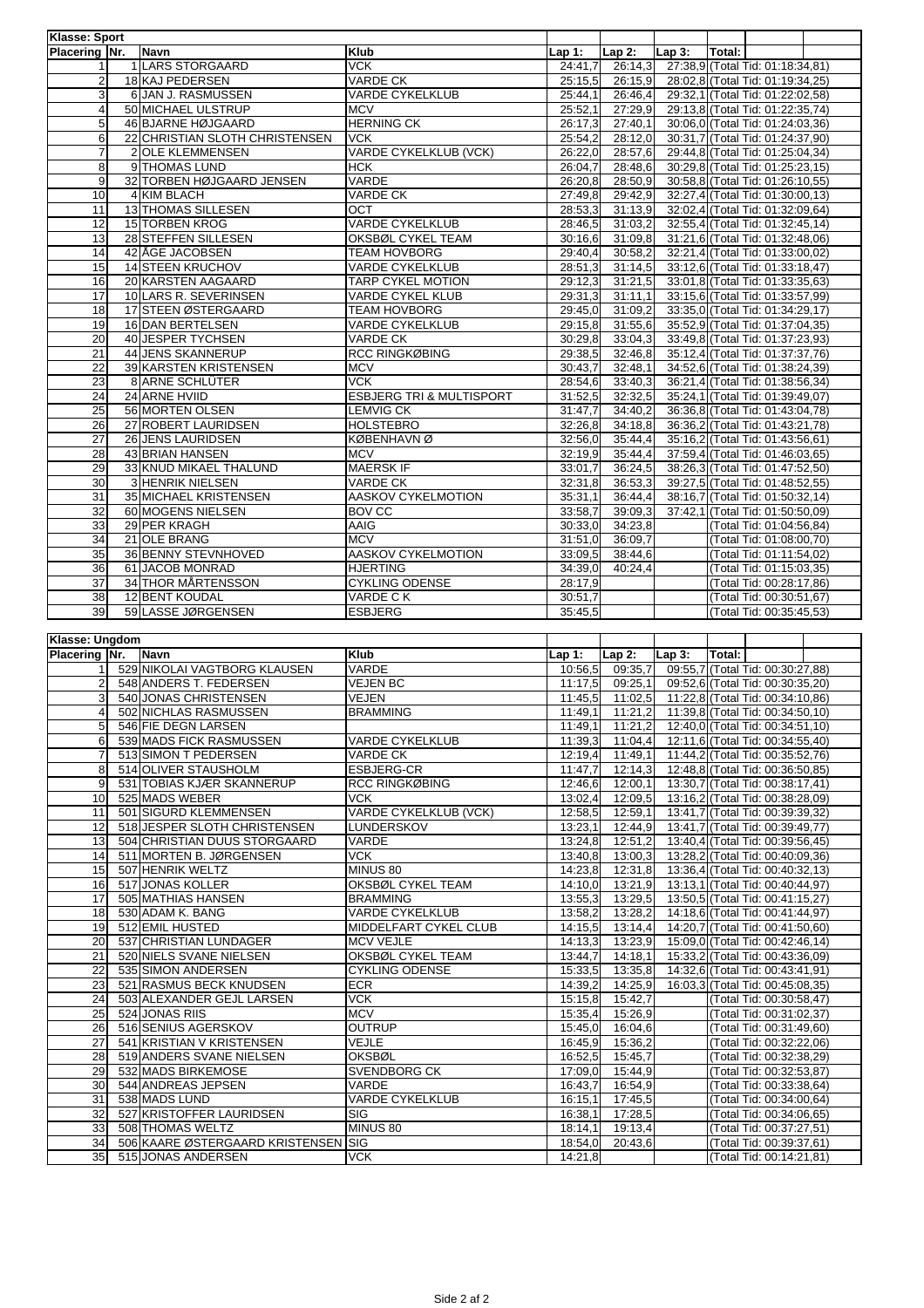| <b>Klasse: Sport</b>    |                                |                                     |          |          |          |        |                                  |  |
|-------------------------|--------------------------------|-------------------------------------|----------|----------|----------|--------|----------------------------------|--|
| Placering Nr.           | <b>Navn</b>                    | <b>Klub</b>                         | $Lap1$ : | Lap $2:$ | $Lap3$ : | Total: |                                  |  |
|                         | 1 LARS STORGAARD               | <b>VCK</b>                          | 24:41,7  | 26:14,3  |          |        | 27:38,9 (Total Tid: 01:18:34,81) |  |
| $\overline{2}$          | 18 KAJ PEDERSEN                | <b>VARDE CK</b>                     | 25:15.5  | 26:15,9  |          |        | 28:02.8 (Total Tid: 01:19:34.25) |  |
| $\overline{3}$          | 6 JAN J. RASMUSSEN             | <b>VARDE CYKELKLUB</b>              | 25:44,1  | 26:46,4  |          |        | 29:32,1 (Total Tid: 01:22:02,58) |  |
| $\overline{\mathbf{4}}$ | 50 MICHAEL ULSTRUP             | <b>MCV</b>                          | 25:52,1  | 27:29,9  |          |        | 29:13,8 (Total Tid: 01:22:35,74) |  |
| 5                       | 46 BJARNE HØJGAARD             | <b>HERNING CK</b>                   | 26:17.3  | 27:40.1  |          |        | 30:06.0 (Total Tid: 01:24:03.36) |  |
| 6                       | 22 CHRISTIAN SLOTH CHRISTENSEN | <b>VCK</b>                          | 25:54,2  | 28:12.0  |          |        | 30:31,7 (Total Tid: 01:24:37,90) |  |
| $\overline{7}$          | <b>2OLE KLEMMENSEN</b>         | VARDE CYKELKLUB (VCK)               | 26:22.0  | 28:57,6  |          |        | 29:44,8 (Total Tid: 01:25:04,34) |  |
| 8                       | 9 THOMAS LUND                  | <b>HCK</b>                          | 26:04,7  | 28:48.6  |          |        | 30:29.8 (Total Tid: 01:25:23.15) |  |
| 9                       | 32 TORBEN HØJGAARD JENSEN      | VARDE                               | 26:20,8  | 28:50,9  |          |        | 30:58,8 (Total Tid: 01:26:10,55) |  |
| $\overline{10}$         | 4 KIM BLACH                    | <b>VARDE CK</b>                     | 27:49.8  | 29:42,9  |          |        | 32:27,4 (Total Tid: 01:30:00,13) |  |
| 11                      | 13 THOMAS SILLESEN             | OCT                                 | 28:53.3  | 31:13,9  |          |        | 32:02,4 (Total Tid: 01:32:09,64) |  |
| 12                      | <b>15 TORBEN KROG</b>          | <b>VARDE CYKELKLUB</b>              | 28:46.5  | 31:03,2  |          |        | 32:55,4 (Total Tid: 01:32:45,14) |  |
| 13                      | 28 STEFFEN SILLESEN            | OKSBØL CYKEL TEAM                   | 30:16,6  | 31:09.8  |          |        | 31:21,6 (Total Tid: 01:32:48,06) |  |
| 14                      | 42 ÅGE JACOBSEN                | <b>TEAM HOVBORG</b>                 | 29:40,4  | 30:58,2  |          |        | 32:21,4 (Total Tid: 01:33:00,02) |  |
| 15                      | <b>14 STEEN KRUCHOV</b>        | <b>VARDE CYKELKLUB</b>              | 28:51,3  | 31:14,5  |          |        | 33:12,6 (Total Tid: 01:33:18,47) |  |
| 16                      | 20 KARSTEN AAGAARD             | <b>TARP CYKEL MOTION</b>            | 29:12,3  | 31:21,5  |          |        | 33:01,8 (Total Tid: 01:33:35,63) |  |
| 17                      | 10 LARS R. SEVERINSEN          | <b>VARDE CYKEL KLUB</b>             | 29:31,3  | 31:11,1  |          |        | 33:15,6 (Total Tid: 01:33:57,99) |  |
| 18                      | 17 STEEN ØSTERGAARD            | <b>TEAM HOVBORG</b>                 | 29:45,0  | 31:09,2  |          |        | 33:35,0 (Total Tid: 01:34:29,17) |  |
| 19                      | 16 DAN BERTELSEN               | <b>VARDE CYKELKLUB</b>              | 29:15,8  | 31:55.6  |          |        | 35:52.9 (Total Tid: 01:37:04.35) |  |
| $\overline{20}$         | 40 JESPER TYCHSEN              | <b>VARDE CK</b>                     | 30:29.8  | 33:04.3  |          |        | 33:49,8 (Total Tid: 01:37:23,93) |  |
| $\overline{21}$         | 44 JENS SKANNERUP              | <b>RCC RINGKØBING</b>               | 29:38.5  | 32:46,8  |          |        | 35:12,4 (Total Tid: 01:37:37,76) |  |
| 22                      | <b>39 KARSTEN KRISTENSEN</b>   | <b>MCV</b>                          | 30:43,7  | 32:48,1  |          |        | 34:52,6 (Total Tid: 01:38:24,39) |  |
| $\overline{23}$         | <b>8 ARNE SCHLÜTER</b>         | <b>VCK</b>                          | 28:54,6  | 33:40,3  |          |        | 36:21,4 (Total Tid: 01:38:56,34) |  |
| 24                      | 24 ARNE HVIID                  | <b>ESBJERG TRI &amp; MULTISPORT</b> | 31:52.5  | 32:32,5  |          |        | 35:24,1 (Total Tid: 01:39:49,07) |  |
| 25                      | 56 MORTEN OLSEN                | <b>LEMVIG CK</b>                    | 31:47,7  | 34:40,2  |          |        | 36:36,8 (Total Tid: 01:43:04,78) |  |
| $\overline{26}$         | 27 ROBERT LAURIDSEN            | <b>HOLSTEBRO</b>                    | 32:26.8  | 34:18,8  |          |        | 36:36,2 (Total Tid: 01:43:21,78) |  |
| $\overline{27}$         | 26 JENS LAURIDSEN              | <b>KØBENHAVNØ</b>                   | 32:56,0  | 35:44.4  |          |        | 35:16,2 (Total Tid: 01:43:56,61) |  |
| 28                      | 43 BRIAN HANSEN                | <b>MCV</b>                          | 32:19,9  | 35:44,4  |          |        | 37:59,4 (Total Tid: 01:46:03,65) |  |
| 29                      | 33 KNUD MIKAEL THALUND         | <b>MAERSK IF</b>                    | 33:01.7  | 36:24,5  |          |        | 38:26,3 (Total Tid: 01:47:52,50) |  |
| 30                      | <b>3 HENRIK NIELSEN</b>        | <b>VARDE CK</b>                     | 32:31,8  | 36:53,3  |          |        | 39:27,5 (Total Tid: 01:48:52,55) |  |
| 31                      | 35 MICHAEL KRISTENSEN          | AASKOV CYKELMOTION                  | 35:31.1  | 36:44,4  |          |        | 38:16,7 (Total Tid: 01:50:32,14) |  |
| 32                      | 60 MOGENS NIELSEN              | <b>BOV CC</b>                       | 33:58,7  | 39:09,3  |          |        | 37:42,1 (Total Tid: 01:50:50,09) |  |
| 33                      | 29 PER KRAGH                   | AAIG                                | 30:33,0  | 34:23,8  |          |        | (Total Tid: 01:04:56,84)         |  |
| 34                      | 21 OLE BRANG                   | <b>MCV</b>                          | 31:51.0  | 36:09.7  |          |        | (Total Tid: 01:08:00.70)         |  |
| 35                      | 36 BENNY STEVNHOVED            | AASKOV CYKELMOTION                  | 33:09.5  | 38:44,6  |          |        | (Total Tid: 01:11:54,02)         |  |
| 36                      | 61 JACOB MONRAD                | <b>HJERTING</b>                     | 34:39,0  | 40:24,4  |          |        | (Total Tid: 01:15:03,35)         |  |
| $\overline{37}$         | 34 THOR MÅRTENSSON             | <b>CYKLING ODENSE</b>               | 28:17,9  |          |          |        | (Total Tid: 00:28:17,86)         |  |
| 38                      | 12 BENT KOUDAL                 | VARDE CK                            | 30:51,7  |          |          |        | (Total Tid: 00:30:51,67)         |  |
| 39                      | 59 LASSE JØRGENSEN             | <b>ESBJERG</b>                      | 35:45,5  |          |          |        | (Total Tid: 00:35:45,53)         |  |

| Klasse: Ungdom          |  |                                     |                              |         |          |          |        |                                  |  |
|-------------------------|--|-------------------------------------|------------------------------|---------|----------|----------|--------|----------------------------------|--|
| Placering Nr.           |  | <b>Navn</b>                         | Klub                         | Lap 1:  | $Lap2$ : | $Lap3$ : | Total: |                                  |  |
|                         |  | 529 NIKOLAI VAGTBORG KLAUSEN        | VARDE                        | 10:56,5 | 09:35,7  |          |        | 09:55,7 (Total Tid: 00:30:27,88) |  |
| $\overline{2}$          |  | 548 ANDERS T. FEDERSEN              | <b>VEJEN BC</b>              | 11:17.5 | 09:25.1  |          |        | 09:52.6 (Total Tid: 00:30:35.20) |  |
| 3                       |  | 540 JONAS CHRISTENSEN               | <b>VEJEN</b>                 | 11:45.5 | 11:02,5  |          |        | 11:22,8 (Total Tid: 00:34:10,86) |  |
| $\overline{\mathbf{A}}$ |  | 502 NICHLAS RASMUSSEN               | <b>BRAMMING</b>              | 11:49,1 | 11:21,2  |          |        | 11:39.8 (Total Tid: 00:34:50.10) |  |
| 5                       |  | 546 FIE DEGN LARSEN                 |                              | 11:49,1 | 11:21,2  |          |        | 12:40,0 (Total Tid: 00:34:51,10) |  |
| 6                       |  | 539 MADS FICK RASMUSSEN             | <b>VARDE CYKELKLUB</b>       | 11:39.3 | 11:04.4  |          |        | 12:11,6 (Total Tid: 00:34:55,40) |  |
|                         |  | 513 SIMON T PEDERSEN                | <b>VARDE CK</b>              | 12:19,4 | 11:49,1  |          |        | 11:44,2 (Total Tid: 00:35:52,76) |  |
| 8                       |  | 514 OLIVER STAUSHOLM                | <b>ESBJERG-CR</b>            | 11:47.7 | 12:14.3  |          |        | 12:48,8 (Total Tid: 00:36:50,85) |  |
| 9                       |  | 531 TOBIAS KJÆR SKANNERUP           | RCC RINGKØBING               | 12:46,6 | 12:00,1  |          |        | 13:30,7 (Total Tid: 00:38:17,41) |  |
| 10                      |  | 525 MADS WEBER                      | <b>VCK</b>                   | 13:02,4 | 12:09,5  |          |        | 13:16,2 (Total Tid: 00:38:28,09) |  |
| 11                      |  | 501 SIGURD KLEMMENSEN               | VARDE CYKELKLUB (VCK)        | 12:58.5 | 12:59,1  |          |        | 13:41,7 (Total Tid: 00:39:39,32) |  |
| 12                      |  | 518 JESPER SLOTH CHRISTENSEN        | <b>LUNDERSKOV</b>            | 13:23,1 | 12:44,9  |          |        | 13:41.7 (Total Tid: 00:39:49.77) |  |
| 13                      |  | 504 CHRISTIAN DUUS STORGAARD        | VARDE                        | 13:24,8 | 12:51.2  |          |        | 13:40.4 (Total Tid: 00:39:56.45) |  |
| 14                      |  | 511 MORTEN B. JØRGENSEN             | <b>VCK</b>                   | 13:40.8 | 13:00.3  |          |        | 13:28.2 (Total Tid: 00:40:09.36) |  |
| 15                      |  | 507 HENRIK WELTZ                    | MINUS 80                     | 14:23.8 | 12:31,8  |          |        | 13:36,4 (Total Tid: 00:40:32,13) |  |
| 16                      |  | 517 JONAS KOLLER                    | OKSBØL CYKEL TEAM            | 14:10,0 | 13:21,9  |          |        | 13:13,1 (Total Tid: 00:40:44,97) |  |
| 17                      |  | 505 MATHIAS HANSEN                  | <b>BRAMMING</b>              | 13:55,3 | 13:29,5  |          |        | 13:50,5 (Total Tid: 00:41:15,27) |  |
| 18                      |  | 530 ADAM K. BANG                    | <b>VARDE CYKELKLUB</b>       | 13:58.2 | 13:28,2  |          |        | 14:18,6 (Total Tid: 00:41:44,97) |  |
| 19                      |  | 512 EMIL HUSTED                     | <b>MIDDELFART CYKEL CLUB</b> | 14:15.5 | 13:14.4  |          |        | 14:20.7 (Total Tid: 00:41:50.60) |  |
| 20                      |  | 537 CHRISTIAN LUNDAGER              | <b>MCV VEJLE</b>             | 14:13.3 | 13:23,9  |          |        | 15:09,0 (Total Tid: 00:42:46,14) |  |
| 21                      |  | 520 NIELS SVANE NIELSEN             | OKSBØL CYKEL TEAM            | 13:44,7 | 14:18,1  |          |        | 15:33,2 (Total Tid: 00:43:36,09) |  |
| 22                      |  | 535 SIMON ANDERSEN                  | <b>CYKLING ODENSE</b>        | 15:33.5 | 13:35,8  |          |        | 14:32,6 (Total Tid: 00:43:41,91) |  |
| 23                      |  | 521 RASMUS BECK KNUDSEN             | <b>ECR</b>                   | 14:39.2 | 14:25,9  |          |        | 16:03,3 (Total Tid: 00:45:08,35) |  |
| 24                      |  | 503 ALEXANDER GEJL LARSEN           | <b>VCK</b>                   | 15:15.8 | 15:42.7  |          |        | (Total Tid: 00:30:58,47)         |  |
| 25                      |  | 524 JONAS RIIS                      | <b>MCV</b>                   | 15:35.4 | 15:26.9  |          |        | (Total Tid: 00:31:02.37)         |  |
| 26                      |  | 516 SENIUS AGERSKOV                 | <b>OUTRUP</b>                | 15:45.0 | 16:04.6  |          |        | (Total Tid: 00:31:49,60)         |  |
| 27                      |  | 541 KRISTIAN V KRISTENSEN           | <b>VEJLE</b>                 | 16:45,9 | 15:36,2  |          |        | (Total Tid: 00:32:22,06)         |  |
| 28                      |  | 519 ANDERS SVANE NIELSEN            | <b>OKSBØL</b>                | 16:52,5 | 15:45,7  |          |        | (Total Tid: 00:32:38,29)         |  |
| 29                      |  | 532 MADS BIRKEMOSE                  | <b>SVENDBORG CK</b>          | 17:09.0 | 15:44,9  |          |        | (Total Tid: 00:32:53,87)         |  |
| 30                      |  | 544 ANDREAS JEPSEN                  | VARDE                        | 16:43,7 | 16:54,9  |          |        | (Total Tid: 00:33:38,64)         |  |
| 31                      |  | 538 MADS LUND                       | <b>VARDE CYKELKLUB</b>       | 16:15,1 | 17:45,5  |          |        | (Total Tid: 00:34:00,64)         |  |
| 32                      |  | 527 KRISTOFFER LAURIDSEN            | SIG                          | 16:38,1 | 17:28,5  |          |        | (Total Tid: 00:34:06,65)         |  |
| 33                      |  | 508 THOMAS WELTZ                    | MINUS 80                     | 18:14,1 | 19:13,4  |          |        | (Total Tid: 00:37:27,51)         |  |
| 34                      |  | 506 KAARE ØSTERGAARD KRISTENSEN SIG |                              | 18:54,0 | 20:43,6  |          |        | (Total Tid: 00:39:37,61)         |  |
| 35                      |  | 515 JONAS ANDERSEN                  | <b>VCK</b>                   | 14:21.8 |          |          |        | (Total Tid: 00:14:21.81)         |  |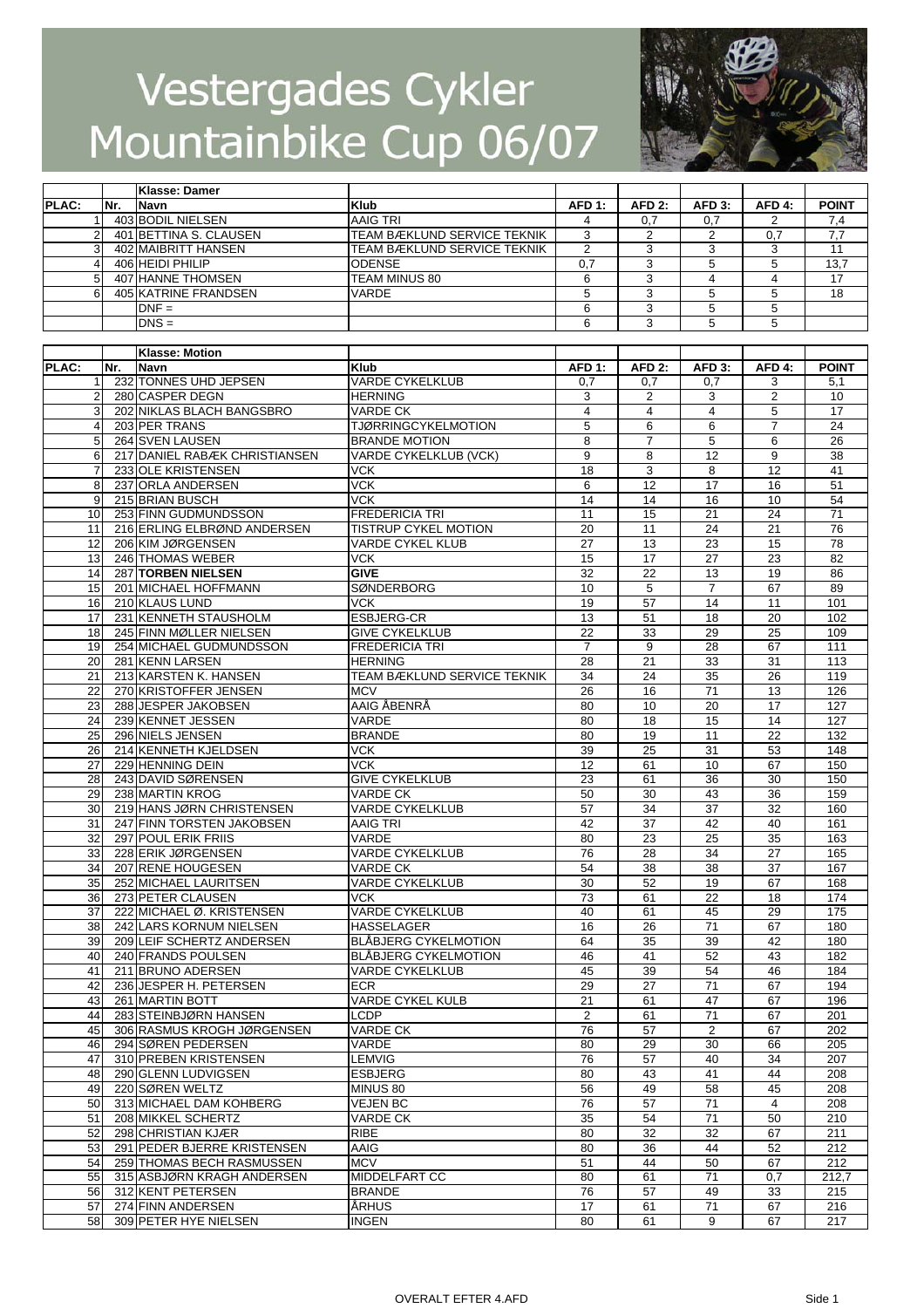

|                         |     | Klasse: Damer                                  |                                               |                |                     |                 |                     |                       |
|-------------------------|-----|------------------------------------------------|-----------------------------------------------|----------------|---------------------|-----------------|---------------------|-----------------------|
| <b>PLAC:</b>            | Nr. | Navn                                           | Klub                                          | <b>AFD 1:</b>  | AFD <sub>2:</sub>   | <b>AFD 3:</b>   | AFD <sub>4:</sub>   | <b>POINT</b>          |
|                         |     | 403 BODIL NIELSEN                              | AAIG TRI                                      | 4              | 0,7                 | 0,7             | 2                   | 7,4                   |
| 2                       |     | 401 BETTINA S. CLAUSEN                         | TEAM BÆKLUND SERVICE TEKNIK                   | 3              | 2                   | $\overline{2}$  | 0,7                 | 7,7                   |
| 3                       |     | 402 MAIBRITT HANSEN                            | TEAM BÆKLUND SERVICE TEKNIK                   | 2              | 3                   | 3               | 3                   | 11                    |
| $\overline{\mathbf{4}}$ |     | 406 HEIDI PHILIP                               | <b>ODENSE</b>                                 | 0,7            | 3                   | 5               | 5                   | 13,7                  |
| 5                       |     | 407 HANNE THOMSEN                              | TEAM MINUS 80                                 | 6              | 3                   | 4               | $\overline{4}$      | 17                    |
| 6                       |     | 405 KATRINE FRANDSEN                           | VARDE                                         | 5              | 3                   | 5               | 5                   | 18                    |
|                         |     | $DNF =$                                        |                                               | 6              | 3                   | 5               | 5                   |                       |
|                         |     | $DNS =$                                        |                                               | 6              | 3                   | 5               | 5                   |                       |
|                         |     |                                                |                                               |                |                     |                 |                     |                       |
|                         |     | <b>Klasse: Motion</b>                          |                                               |                |                     |                 |                     |                       |
| PLAC:                   | Nr. | Navn                                           | <b>Klub</b>                                   | <b>AFD 1:</b>  | <b>AFD 2:</b>       | <b>AFD 3:</b>   | AFD 4:              | <b>POINT</b>          |
| 1                       |     | 232 TONNES UHD JEPSEN                          | <b>VARDE CYKELKLUB</b>                        | 0,7            | 0,7                 | 0,7             | 3                   | 5,1                   |
| $\overline{2}$          |     | 280 CASPER DEGN                                | <b>HERNING</b>                                | 3              | $\overline{2}$      | 3               | $\overline{2}$      | 10                    |
| 3<br>4                  |     | 202 NIKLAS BLACH BANGSBRO                      | <b>VARDE CK</b><br><b>TJØRRINGCYKELMOTION</b> | 4              | 4                   | 4               | 5<br>$\overline{7}$ | 17<br>$\overline{24}$ |
| 5                       |     | 203 PER TRANS<br>264 SVEN LAUSEN               | <b>BRANDE MOTION</b>                          | 5<br>8         | 6<br>$\overline{7}$ | 6<br>5          | 6                   | $\overline{26}$       |
| 6                       |     | 217 DANIEL RABÆK CHRISTIANSEN                  | VARDE CYKELKLUB (VCK)                         | 9              | 8                   | 12              | 9                   | 38                    |
| $\overline{7}$          |     | 233 OLE KRISTENSEN                             | <b>VCK</b>                                    | 18             | 3                   | 8               | 12                  | 41                    |
| 8                       |     | 237 ORLA ANDERSEN                              | <b>VCK</b>                                    | 6              | 12                  | 17              | 16                  | 51                    |
| 9                       |     | 215 BRIAN BUSCH                                | <b>VCK</b>                                    | 14             | 14                  | 16              | 10                  | 54                    |
| 10                      |     | 253 FINN GUDMUNDSSON                           | <b>FREDERICIA TRI</b>                         | 11             | 15                  | 21              | 24                  | $\overline{71}$       |
| 11                      |     | 216 ERLING ELBRØND ANDERSEN                    | TISTRUP CYKEL MOTION                          | 20             | 11                  | 24              | 21                  | 76                    |
| 12                      |     | 206 KIM JØRGENSEN                              | <b>VARDE CYKEL KLUB</b>                       | 27             | 13                  | 23              | 15                  | $\overline{78}$       |
| 13                      |     | 246 THOMAS WEBER                               | VCK                                           | 15             | 17                  | 27              | 23                  | 82                    |
| 14                      |     | 287 TORBEN NIELSEN                             | <b>GIVE</b>                                   | 32             | 22                  | 13              | 19                  | 86                    |
| 15                      |     | 201 MICHAEL HOFFMANN                           | <b>SØNDERBORG</b>                             | 10             | 5                   | $\overline{7}$  | 67                  | 89                    |
| 16                      |     | 210 KLAUS LUND                                 | <b>VCK</b>                                    | 19             | 57                  | 14              | 11                  | 101                   |
| 17                      |     | 231 KENNETH STAUSHOLM                          | <b>ESBJERG-CR</b>                             | 13             | 51                  | 18              | 20                  | 102                   |
| 18                      |     | 245 FINN MØLLER NIELSEN                        | <b>GIVE CYKELKLUB</b>                         | 22             | 33                  | 29              | 25                  | 109                   |
| 19                      |     | 254 MICHAEL GUDMUNDSSON                        | <b>FREDERICIA TRI</b>                         | $\overline{7}$ | 9                   | $\overline{28}$ | 67                  | 111                   |
| 20                      |     | 281 KENN LARSEN                                | <b>HERNING</b>                                | 28             | 21                  | 33              | 31                  | 113                   |
| 21                      |     | 213 KARSTEN K. HANSEN                          | TEAM BÆKLUND SERVICE TEKNIK                   | 34             | 24                  | 35              | 26                  | 119                   |
| 22                      |     | 270 KRISTOFFER JENSEN                          | <b>MCV</b>                                    | 26             | 16                  | $\overline{71}$ | 13                  | 126                   |
| 23                      |     | 288 JESPER JAKOBSEN                            | AAIG ÅBENRÅ                                   | 80             | 10                  | 20              | 17                  | 127                   |
| 24                      |     | 239 KENNET JESSEN                              | VARDE                                         | 80             | 18                  | 15              | 14                  | 127                   |
| 25                      |     | 296 NIELS JENSEN                               | <b>BRANDE</b>                                 | 80             | 19                  | 11              | $\overline{22}$     | 132                   |
| 26                      |     | 214 KENNETH KJELDSEN                           | VCK.                                          | 39             | 25                  | 31              | 53                  | 148                   |
| 27                      |     | 229 HENNING DEIN                               | <b>VCK</b>                                    | 12             | 61                  | 10              | 67                  | 150                   |
| 28                      |     | 243 DAVID SØRENSEN                             | <b>GIVE CYKELKLUB</b>                         | 23             | 61                  | 36              | 30                  | 150                   |
| 29                      |     | 238 MARTIN KROG                                | <b>VARDE CK</b>                               | 50             | 30                  | 43              | 36                  | 159                   |
| 30                      |     | 219 HANS JØRN CHRISTENSEN                      | VARDE CYKELKLUB                               | 57             | 34                  | 37              | 32                  | 160                   |
| 31                      |     | 247 FINN TORSTEN JAKOBSEN                      | AAIG TRI                                      | 42             | 37                  | 42              | 40                  | 161                   |
| 32                      |     | 297 POUL ERIK FRIIS                            | VARDE                                         | 80             | 23                  | 25              | 35                  | 163                   |
| 33                      |     | 228 ERIK JØRGENSEN                             | <b>VARDE CYKELKLUB</b>                        | 76             | 28                  | 34              | 27                  | 165                   |
| 34                      |     | 207 RENE HOUGESEN                              | <b>VARDE CK</b>                               | 54             | 38                  | 38              | 37                  | 167                   |
| 35                      |     | 252 MICHAEL LAURITSEN                          | <b>VARDE CYKELKLUB</b>                        | 30             | 52                  | 19              | 67                  | 168                   |
| 36<br>37                |     | 273 PETER CLAUSEN<br>222 MICHAEL Ø. KRISTENSEN | <b>VCK</b><br>VARDE CYKELKLUB                 | 73<br>40       | 61<br>61            | 22              | 18<br>29            | 174<br>175            |
| 38                      |     | 242 LARS KORNUM NIELSEN                        | HASSELAGER                                    | 16             | 26                  | 45<br>71        | 67                  | 180                   |
| 39                      |     | 209 LEIF SCHERTZ ANDERSEN                      | BLÅBJERG CYKELMOTION                          | 64             | 35                  | 39              | 42                  | 180                   |
| 40                      |     | 240 FRANDS POULSEN                             | <b>BLÅBJERG CYKELMOTION</b>                   | 46             | 41                  | 52              | 43                  | 182                   |
| 41                      |     | 211 BRUNO ADERSEN                              | VARDE CYKELKLUB                               | 45             | 39                  | 54              | 46                  | 184                   |
| 42                      |     | 236 JESPER H. PETERSEN                         | ECR                                           | 29             | 27                  | 71              | 67                  | 194                   |
| 43                      |     | 261 MARTIN BOTT                                | <b>VARDE CYKEL KULB</b>                       | 21             | 61                  | 47              | 67                  | 196                   |
| 44                      |     | 283 STEINBJØRN HANSEN                          | LCDP                                          | 2              | 61                  | 71              | 67                  | 201                   |
| 45                      |     | 306 RASMUS KROGH JØRGENSEN                     | VARDE CK                                      | 76             | 57                  | 2               | 67                  | 202                   |
| 46                      |     | 294 SØREN PEDERSEN                             | VARDE                                         | 80             | 29                  | 30              | 66                  | 205                   |
| 47                      |     | 310 PREBEN KRISTENSEN                          | <b>LEMVIG</b>                                 | 76             | 57                  | 40              | 34                  | 207                   |
| 48                      |     | 290 GLENN LUDVIGSEN                            | ESBJERG                                       | 80             | 43                  | 41              | 44                  | 208                   |
| 49                      |     | 220 SØREN WELTZ                                | MINUS 80                                      | 56             | 49                  | 58              | 45                  | 208                   |
| 50                      |     | 313 MICHAEL DAM KOHBERG                        | <b>VEJEN BC</b>                               | 76             | 57                  | 71              | 4                   | 208                   |
| 51                      |     | 208 MIKKEL SCHERTZ                             | <b>VARDE CK</b>                               | 35             | 54                  | 71              | 50                  | 210                   |
| 52                      |     | 298 CHRISTIAN KJÆR                             | <b>RIBE</b>                                   | 80             | 32                  | 32              | 67                  | 211                   |
| 53                      |     | 291 PEDER BJERRE KRISTENSEN                    | AAIG                                          | 80             | 36                  | 44              | 52                  | 212                   |
| 54                      |     | 259 THOMAS BECH RASMUSSEN                      | MCV                                           | 51             | 44                  | 50              | 67                  | 212                   |
| 55                      |     | 315 ASBJØRN KRAGH ANDERSEN                     | MIDDELFART CC                                 | 80             | 61                  | 71              | 0,7                 | 212,7                 |
| 56                      |     | 312 KENT PETERSEN                              | BRANDE                                        | 76             | 57                  | 49              | 33                  | 215                   |
| 57                      |     | 274 FINN ANDERSEN                              | <b>ÅRHUS</b>                                  | 17             | 61                  | 71              | 67                  | 216                   |
| 58                      |     | 309 PETER HYE NIELSEN                          | <b>INGEN</b>                                  | 80             | 61                  | 9               | 67                  | 217                   |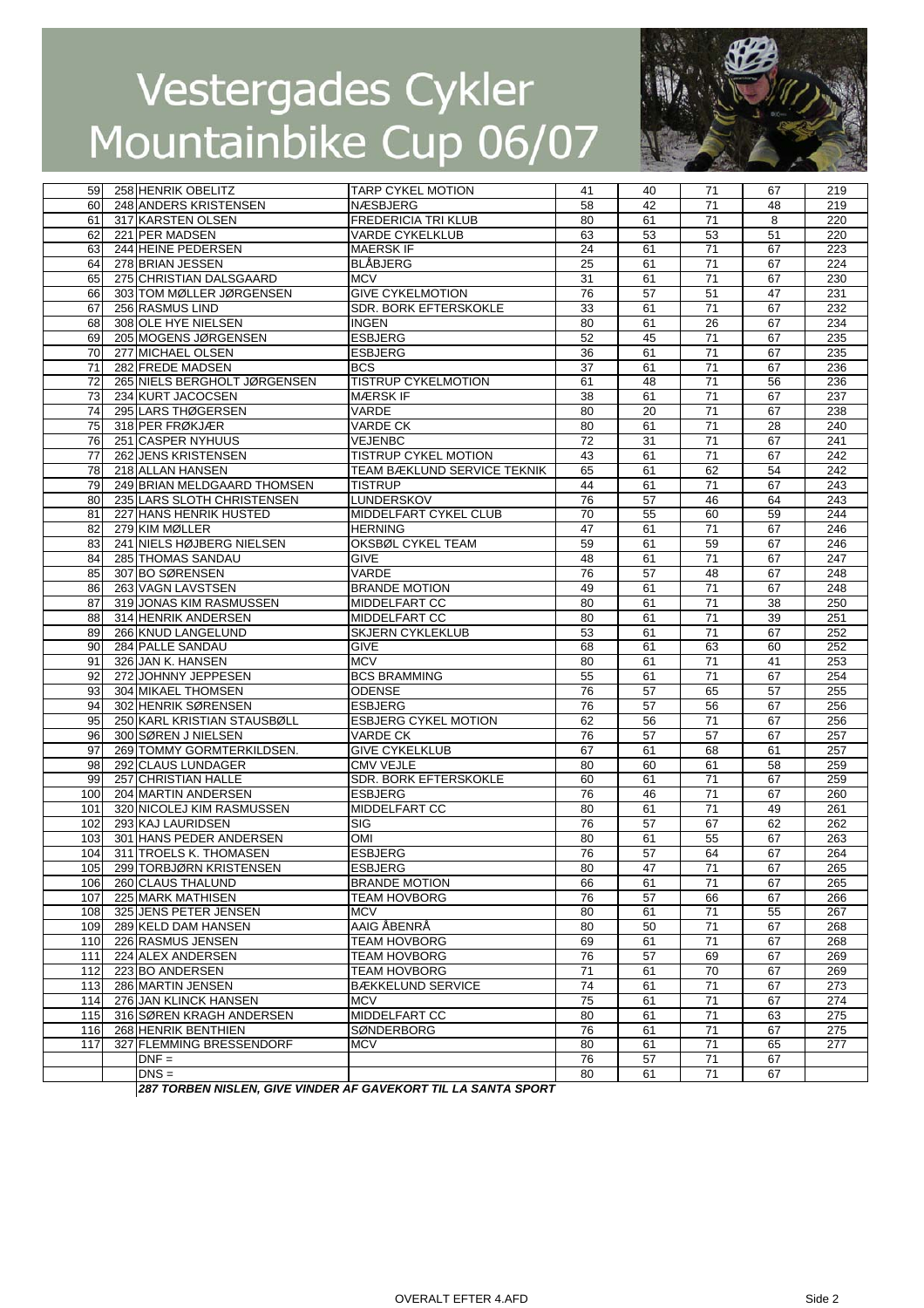

| 59               | <b>258 HENRIK OBELITZ</b>    | <b>TARP CYKEL MOTION</b>                                    | 41 | 40 | 71              | 67 | 219              |
|------------------|------------------------------|-------------------------------------------------------------|----|----|-----------------|----|------------------|
| 60               | 248 ANDERS KRISTENSEN        | <b>NÆSBJERG</b>                                             | 58 | 42 | 71              | 48 | 219              |
| 61               | 317 KARSTEN OLSEN            | <b>FREDERICIA TRI KLUB</b>                                  | 80 | 61 | 71              | 8  | 220              |
| 62               | 221 PER MADSEN               | <b>VARDE CYKELKLUB</b>                                      | 63 | 53 | 53              | 51 | 220              |
| 63               | 244 HEINE PEDERSEN           | <b>MAERSK IF</b>                                            | 24 | 61 | 71              | 67 | 223              |
| 64               | 278 BRIAN JESSEN             | <b>BLÅBJERG</b>                                             | 25 | 61 | 71              | 67 | 224              |
| 65               | 275 CHRISTIAN DALSGAARD      | <b>MCV</b>                                                  | 31 | 61 | 71              | 67 | 230              |
| 66               | 303 TOM MØLLER JØRGENSEN     | <b>GIVE CYKELMOTION</b>                                     | 76 | 57 | 51              | 47 | 231              |
| 67               | 256 RASMUS LIND              | SDR. BORK EFTERSKOKLE                                       | 33 | 61 | 71              | 67 | 232              |
| 68               | 308 OLE HYE NIELSEN          | <b>INGEN</b>                                                | 80 | 61 | $\overline{26}$ | 67 | 234              |
| 69               | 205 MOGENS JØRGENSEN         | <b>ESBJERG</b>                                              | 52 | 45 | $\overline{71}$ | 67 | 235              |
|                  | 277 MICHAEL OLSEN            | <b>ESBJERG</b>                                              |    |    |                 |    |                  |
| 70               |                              |                                                             | 36 | 61 | 71              | 67 | 235              |
| 71               | 282 FREDE MADSEN             | <b>BCS</b>                                                  | 37 | 61 | 71              | 67 | 236              |
| 72               | 265 NIELS BERGHOLT JØRGENSEN | <b>TISTRUP CYKELMOTION</b>                                  | 61 | 48 | 71              | 56 | 236              |
| 73               | 234 KURT JACOCSEN            | <b>MÆRSK IF</b>                                             | 38 | 61 | 71              | 67 | 237              |
| 74               | 295 LARS THØGERSEN           | VARDE                                                       | 80 | 20 | $\bf 71$        | 67 | 238              |
| 75               | 318 PER FRØKJÆR              | <b>VARDE CK</b>                                             | 80 | 61 | $\overline{71}$ | 28 | 240              |
| 76               | 251 CASPER NYHUUS            | <b>VEJENBC</b>                                              | 72 | 31 | $\overline{71}$ | 67 | $\overline{241}$ |
| 77               | 262 JENS KRISTENSEN          | TISTRUP CYKEL MOTION                                        | 43 | 61 | 71              | 67 | 242              |
| 78               | 218 ALLAN HANSEN             | TEAM BÆKLUND SERVICE TEKNIK                                 | 65 | 61 | 62              | 54 | 242              |
| 79               | 249 BRIAN MELDGAARD THOMSEN  | <b>TISTRUP</b>                                              | 44 | 61 | 71              | 67 | 243              |
| 80               | 235 LARS SLOTH CHRISTENSEN   | LUNDERSKOV                                                  | 76 | 57 | 46              | 64 | 243              |
| 81               | 227 HANS HENRIK HUSTED       | MIDDELFART CYKEL CLUB                                       | 70 | 55 | 60              | 59 | 244              |
| 82               | 279 KIM MØLLER               | <b>HERNING</b>                                              | 47 | 61 | 71              | 67 | 246              |
| 83               | 241 NIELS HØJBERG NIELSEN    | OKSBØL CYKEL TEAM                                           | 59 | 61 | 59              | 67 | 246              |
| 84               | 285 THOMAS SANDAU            | <b>GIVE</b>                                                 | 48 | 61 | 71              | 67 | 247              |
| 85               | 307 BO SØRENSEN              | VARDE                                                       | 76 | 57 | 48              | 67 | 248              |
| 86               | 263 VAGN LAVSTSEN            | <b>BRANDE MOTION</b>                                        | 49 | 61 | 71              | 67 | 248              |
| 87               | 319 JONAS KIM RASMUSSEN      | MIDDELFART CC                                               | 80 | 61 | 71              | 38 | 250              |
| 88               | 314 HENRIK ANDERSEN          | MIDDELFART CC                                               | 80 | 61 | 71              | 39 | 251              |
|                  |                              |                                                             |    |    |                 |    | 252              |
| 89               | 266 KNUD LANGELUND           | <b>SKJERN CYKLEKLUB</b>                                     | 53 | 61 | 71              | 67 |                  |
| 90               | 284 PALLE SANDAU             | <b>GIVE</b>                                                 | 68 | 61 | 63              | 60 | 252              |
| 91               | 326 JAN K. HANSEN            | <b>MCV</b>                                                  | 80 | 61 | 71              | 41 | 253              |
| 92               | 272 JOHNNY JEPPESEN          | <b>BCS BRAMMING</b>                                         | 55 | 61 | 71              | 67 | 254              |
| 93               | 304 MIKAEL THOMSEN           | ODENSE                                                      | 76 | 57 | 65              | 57 | 255              |
| 94               | 302 HENRIK SØRENSEN          | <b>ESBJERG</b>                                              | 76 | 57 | 56              | 67 | 256              |
| 95               | 250 KARL KRISTIAN STAUSBØLL  | <b>ESBJERG CYKEL MOTION</b>                                 | 62 | 56 | 71              | 67 | 256              |
| 96               | 300 SØREN J NIELSEN          | VARDE CK                                                    | 76 | 57 | 57              | 67 | 257              |
| 97               | 269 TOMMY GORMTERKILDSEN.    | <b>GIVE CYKELKLUB</b>                                       | 67 | 61 | 68              | 61 | 257              |
| 98               | 292 CLAUS LUNDAGER           | <b>CMV VEJLE</b>                                            | 80 | 60 | 61              | 58 | 259              |
| 99               | 257 CHRISTIAN HALLE          | SDR. BORK EFTERSKOKLE                                       | 60 | 61 | 71              | 67 | 259              |
| 100              | 204 MARTIN ANDERSEN          | <b>ESBJERG</b>                                              | 76 | 46 | $\overline{71}$ | 67 | 260              |
| 101              | 320 NICOLEJ KIM RASMUSSEN    | MIDDELFART CC                                               | 80 | 61 | 71              | 49 | 261              |
| 102              | 293 KAJ LAURIDSEN            | SIG                                                         | 76 | 57 | 67              | 62 | 262              |
| 103              | 301 HANS PEDER ANDERSEN      | <b>OMI</b>                                                  | 80 | 61 | 55              | 67 | 263              |
| 104              | 311 TROELS K. THOMASEN       | <b>ESBJERG</b>                                              | 76 | 57 | 64              | 67 | 264              |
| 105 <sup>1</sup> | 299 TORBJØRN KRISTENSEN      | <b>ESBJERG</b>                                              | 80 | 47 | 71              | 67 | 265              |
| 106              | 260 CLAUS THALUND            | <b>BRANDE MOTION</b>                                        | 66 | 61 | 71              | 67 | 265              |
| 107              | 225 MARK MATHISEN            | <b>TEAM HOVBORG</b>                                         | 76 | 57 | 66              | 67 | 266              |
| 108              | 325 JENS PETER JENSEN        | MCV                                                         | 80 | 61 | 71              | 55 | 267              |
| 109              | 289 KELD DAM HANSEN          | AAIG ÅBENRÅ                                                 | 80 | 50 | 71              | 67 | 268              |
|                  | 226 RASMUS JENSEN            | <b>TEAM HOVBORG</b>                                         | 69 | 61 | 71              | 67 | 268              |
| 110              |                              | <b>TEAM HOVBORG</b>                                         | 76 |    |                 |    |                  |
| 111              | 224 ALEX ANDERSEN            |                                                             |    | 57 | 69              | 67 | 269              |
| 112              | 223 BO ANDERSEN              | <b>TEAM HOVBORG</b>                                         | 71 | 61 | 70              | 67 | 269              |
| 113              | 286 MARTIN JENSEN            | <b>BÆKKELUND SERVICE</b>                                    | 74 | 61 | 71              | 67 | 273              |
| 114              | 276 JAN KLINCK HANSEN        | MCV                                                         | 75 | 61 | 71              | 67 | $\overline{274}$ |
| 115              | 316 SØREN KRAGH ANDERSEN     | MIDDELFART CC                                               | 80 | 61 | 71              | 63 | 275              |
| 116              | 268 HENRIK BENTHIEN          | SØNDERBORG                                                  | 76 | 61 | 71              | 67 | 275              |
| 117              | 327 FLEMMING BRESSENDORF     | <b>MCV</b>                                                  | 80 | 61 | 71              | 65 | 277              |
|                  | $DNF =$                      |                                                             | 76 | 57 | $\overline{71}$ | 67 |                  |
|                  | $DNS =$                      |                                                             | 80 | 61 | 71              | 67 |                  |
|                  |                              | 297 TODDEN NICLEN CIVE VINDED AF CAVEKODT TILLA SANTA SPORT |    |    |                 |    |                  |

*287 TORBEN NISLEN, GIVE VINDER AF GAVEKORT TIL LA SANTA SPORT*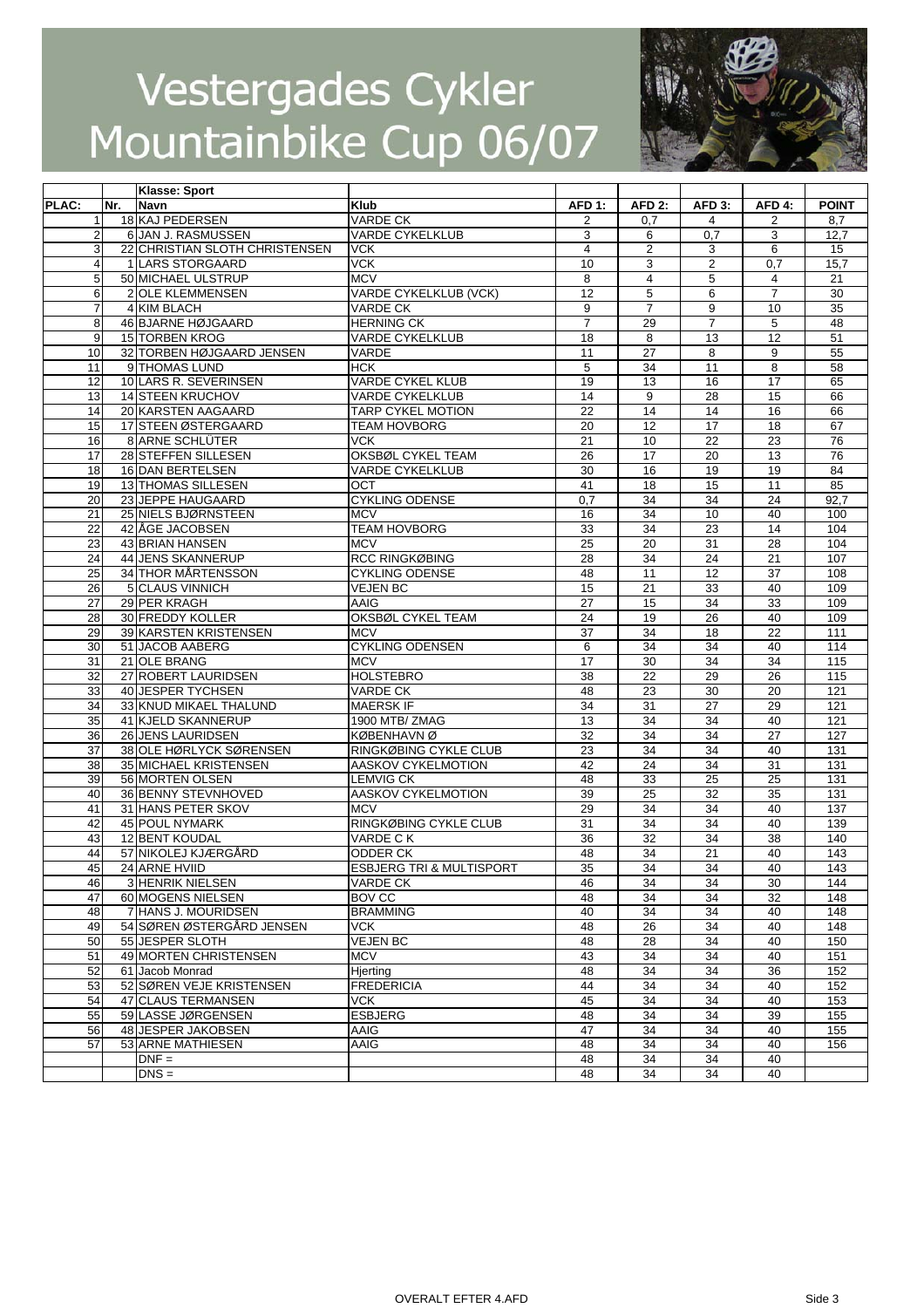

|                 |     | <b>Klasse: Sport</b>           |                                     |                   |                   |                   |                 |              |
|-----------------|-----|--------------------------------|-------------------------------------|-------------------|-------------------|-------------------|-----------------|--------------|
| PLAC:           | Nr. | <b>Navn</b>                    | <b>Klub</b>                         | AFD <sub>1:</sub> | AFD <sub>2:</sub> | AFD <sub>3:</sub> | AFD 4:          | <b>POINT</b> |
|                 |     | 18 KAJ PEDERSEN                | <b>VARDE CK</b>                     | 2                 | 0,7               | 4                 | 2               | 8,7          |
| $\overline{2}$  |     | 6 JAN J. RASMUSSEN             | <b>VARDE CYKELKLUB</b>              | 3                 | 6                 | 0,7               | 3               | 12,7         |
| 3               |     | 22 CHRISTIAN SLOTH CHRISTENSEN | <b>VCK</b>                          | $\overline{4}$    | 2                 | 3                 | 6               | 15           |
| 4               |     | 1 LARS STORGAARD               | <b>VCK</b>                          | 10                | 3                 | $\overline{c}$    | 0,7             | 15,7         |
| 5               |     | 50 MICHAEL ULSTRUP             | <b>MCV</b>                          | 8                 | 4                 | 5                 | 4               | 21           |
| 6               |     | 2 OLE KLEMMENSEN               | VARDE CYKELKLUB (VCK)               | 12                | 5                 | 6                 | $\overline{7}$  | 30           |
| 7               |     | 4 KIM BLACH                    | <b>VARDE CK</b>                     | 9                 | $\overline{7}$    | 9                 | 10              | 35           |
| 8               |     | 46 BJARNE HØJGAARD             | <b>HERNING CK</b>                   | $\overline{7}$    | 29                | $\overline{7}$    | 5               | 48           |
| $\overline{9}$  |     | <b>15 TORBEN KROG</b>          | <b>VARDE CYKELKLUB</b>              | 18                | 8                 | 13                | 12              | 51           |
| 10              |     | 32 TORBEN HØJGAARD JENSEN      | <b>VARDE</b>                        | 11                | 27                | 8                 | 9               | 55           |
| 11              |     | 9 THOMAS LUND                  | <b>HCK</b>                          | 5                 | 34                | 11                | 8               | 58           |
| 12              |     | 10 LARS R. SEVERINSEN          | <b>VARDE CYKEL KLUB</b>             | 19                | 13                | 16                | 17              | 65           |
| 13              |     | 14 STEEN KRUCHOV               | VARDE CYKELKLUB                     | 14                | 9                 | 28                | 15              | 66           |
| 14              |     | 20 KARSTEN AAGAARD             | <b>TARP CYKEL MOTION</b>            | 22                | $\overline{14}$   | 14                | 16              | 66           |
| 15              |     | 17 STEEN ØSTERGAARD            | <b>TEAM HOVBORG</b>                 | 20                | 12                | $\overline{17}$   | $\overline{18}$ | 67           |
| 16              |     | 8 ARNE SCHLÜTER                | <b>VCK</b>                          | 21                | 10                | $\overline{22}$   | $\overline{23}$ | 76           |
| 17              |     |                                |                                     | 26                | 17                | 20                | 13              | 76           |
|                 |     | 28 STEFFEN SILLESEN            | OKSBØL CYKEL TEAM                   |                   |                   |                   |                 |              |
| 18              |     | 16 DAN BERTELSEN               | <b>VARDE CYKELKLUB</b>              | 30                | 16                | 19                | 19              | 84           |
| 19              |     | 13 THOMAS SILLESEN             | OCT                                 | 41                | 18                | 15                | 11              | 85           |
| 20              |     | 23 JEPPE HAUGAARD              | <b>CYKLING ODENSE</b>               | 0,7               | 34                | 34                | 24              | 92,7         |
| 21              |     | 25 NIELS BJØRNSTEEN            | <b>MCV</b>                          | 16                | 34                | 10                | 40              | 100          |
| 22              |     | 42 ÅGE JACOBSEN                | <b>TEAM HOVBORG</b>                 | 33                | 34                | $\overline{23}$   | 14              | 104          |
| 23              |     | 43 BRIAN HANSEN                | <b>MCV</b>                          | $\overline{25}$   | 20                | 31                | $\overline{28}$ | 104          |
| 24              |     | 44 JENS SKANNERUP              | <b>RCC RINGKØBING</b>               | 28                | 34                | 24                | 21              | 107          |
| 25              |     | 34 THOR MÅRTENSSON             | <b>CYKLING ODENSE</b>               | 48                | 11                | 12                | 37              | 108          |
| $\overline{26}$ |     | 5 CLAUS VINNICH                | <b>VEJEN BC</b>                     | 15                | $\overline{21}$   | 33                | 40              | 109          |
| 27              |     | 29 PER KRAGH                   | AAIG                                | 27                | 15                | 34                | 33              | 109          |
| 28              |     | 30 FREDDY KOLLER               | OKSBØL CYKEL TEAM                   | 24                | 19                | $\overline{26}$   | 40              | 109          |
| 29              |     | 39 KARSTEN KRISTENSEN          | <b>MCV</b>                          | $\overline{37}$   | 34                | $\overline{18}$   | $\overline{22}$ | 111          |
| 30              |     | 51 JACOB AABERG                | <b>CYKLING ODENSEN</b>              | 6                 | $\overline{34}$   | 34                | 40              | 114          |
| 31              |     | 21 OLE BRANG                   | <b>MCV</b>                          | 17                | 30                | 34                | 34              | 115          |
| 32              |     | 27 ROBERT LAURIDSEN            | <b>HOLSTEBRO</b>                    | 38                | 22                | 29                | 26              | 115          |
| 33              |     | 40 JESPER TYCHSEN              | <b>VARDE CK</b>                     | 48                | 23                | $\overline{30}$   | $\overline{20}$ | 121          |
| 34              |     | 33 KNUD MIKAEL THALUND         | <b>MAERSK IF</b>                    | 34                | 31                | 27                | 29              | 121          |
| 35              |     | 41 KJELD SKANNERUP             | 1900 MTB/ZMAG                       | 13                | 34                | 34                | 40              | 121          |
| 36              |     | 26 JENS LAURIDSEN              | KØBENHAVN Ø                         | $\overline{32}$   | 34                | $\overline{34}$   | $\overline{27}$ | 127          |
| $\overline{37}$ |     | 38 OLE HØRLYCK SØRENSEN        | RINGKØBING CYKLE CLUB               | 23                | 34                | 34                | 40              | 131          |
| 38              |     | 35 MICHAEL KRISTENSEN          | AASKOV CYKELMOTION                  | 42                | 24                | 34                | 31              | 131          |
| 39              |     | 56 MORTEN OLSEN                | <b>LEMVIG CK</b>                    | 48                | 33                | 25                | 25              | 131          |
| 40              |     | 36 BENNY STEVNHOVED            | AASKOV CYKELMOTION                  | 39                | $\overline{25}$   | $\overline{32}$   | 35              | 131          |
| 41              |     | 31 HANS PETER SKOV             | <b>MCV</b>                          | 29                | 34                | 34                | 40              | 137          |
| 42              |     | <b>45 POUL NYMARK</b>          | RINGKØBING CYKLE CLUB               | 31                | 34                | 34                | 40              | 139          |
| 43              |     | <b>12 BENT KOUDAL</b>          | VARDE C K                           | 36                | 32                | 34                | 38              | 140          |
| 44              |     | 57 NIKOLEJ KJÆRGÅRD            | ODDER CK                            | 48                | 34                | 21                | 40              | 143          |
| 45              |     | 24 ARNE HVIID                  |                                     | 35                | 34                | 34                | 40              | 143          |
|                 |     |                                | <b>ESBJERG TRI &amp; MULTISPORT</b> |                   |                   |                   |                 |              |
| 46              |     | <b>3 HENRIK NIELSEN</b>        | <b>VARDE CK</b>                     | 46                | 34                | 34                | 30              | 144          |
| 47              |     | 60 MOGENS NIELSEN              | <b>BOV CC</b>                       | 48                | 34                | 34                | 32              | 148          |
| 48              |     | 7 HANS J. MOURIDSEN            | <b>BRAMMING</b>                     | 40                | 34                | 34                | 40              | 148          |
| 49              |     | 54 SØREN ØSTERGÅRD JENSEN      | <b>VCK</b>                          | 48                | 26                | 34                | 40              | 148          |
| 50              |     | 55 JESPER SLOTH                | <b>VEJEN BC</b>                     | 48                | 28                | 34                | 40              | 150          |
| 51              |     | 49 MORTEN CHRISTENSEN          | <b>MCV</b>                          | 43                | 34                | 34                | 40              | 151          |
| 52              |     | 61 Jacob Monrad                | Hiertina                            | 48                | 34                | 34                | 36              | 152          |
| 53              |     | 52 SØREN VEJE KRISTENSEN       | <b>FREDERICIA</b>                   | 44                | 34                | 34                | 40              | 152          |
| 54              |     | 47 CLAUS TERMANSEN             | <b>VCK</b>                          | 45                | $\overline{34}$   | 34                | 40              | 153          |
| 55              |     | 59 LASSE JØRGENSEN             | <b>ESBJERG</b>                      | 48                | 34                | 34                | 39              | 155          |
| 56              |     | 48 JESPER JAKOBSEN             | AAIG                                | 47                | 34                | 34                | 40              | 155          |
| 57              |     | 53 ARNE MATHIESEN              | <b>AAIG</b>                         | 48                | $\overline{34}$   | 34                | 40              | 156          |
|                 |     | $DNF =$                        |                                     | 48                | 34                | 34                | 40              |              |
|                 |     | $DNS =$                        |                                     | 48                | 34                | 34                | 40              |              |